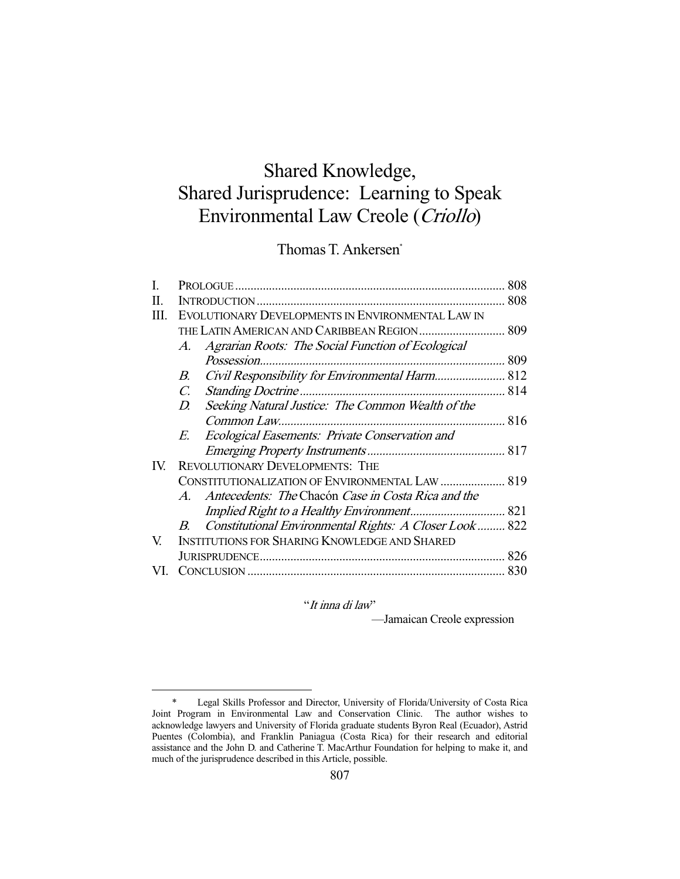# Shared Knowledge, Shared Jurisprudence: Learning to Speak Environmental Law Creole (Criollo)

Thomas T. Ankersen<sup>\*</sup>

|                 | 808                                                                                                                                                                                                                                                                                                                                                                                                                                                                                                                                                                  |
|-----------------|----------------------------------------------------------------------------------------------------------------------------------------------------------------------------------------------------------------------------------------------------------------------------------------------------------------------------------------------------------------------------------------------------------------------------------------------------------------------------------------------------------------------------------------------------------------------|
|                 |                                                                                                                                                                                                                                                                                                                                                                                                                                                                                                                                                                      |
|                 |                                                                                                                                                                                                                                                                                                                                                                                                                                                                                                                                                                      |
|                 |                                                                                                                                                                                                                                                                                                                                                                                                                                                                                                                                                                      |
| A.              |                                                                                                                                                                                                                                                                                                                                                                                                                                                                                                                                                                      |
|                 |                                                                                                                                                                                                                                                                                                                                                                                                                                                                                                                                                                      |
| $B_{\cdot}$     |                                                                                                                                                                                                                                                                                                                                                                                                                                                                                                                                                                      |
| $\mathcal{C}$ . |                                                                                                                                                                                                                                                                                                                                                                                                                                                                                                                                                                      |
| D.              |                                                                                                                                                                                                                                                                                                                                                                                                                                                                                                                                                                      |
|                 |                                                                                                                                                                                                                                                                                                                                                                                                                                                                                                                                                                      |
| E.              |                                                                                                                                                                                                                                                                                                                                                                                                                                                                                                                                                                      |
|                 |                                                                                                                                                                                                                                                                                                                                                                                                                                                                                                                                                                      |
|                 |                                                                                                                                                                                                                                                                                                                                                                                                                                                                                                                                                                      |
|                 |                                                                                                                                                                                                                                                                                                                                                                                                                                                                                                                                                                      |
|                 |                                                                                                                                                                                                                                                                                                                                                                                                                                                                                                                                                                      |
|                 |                                                                                                                                                                                                                                                                                                                                                                                                                                                                                                                                                                      |
| B.              |                                                                                                                                                                                                                                                                                                                                                                                                                                                                                                                                                                      |
|                 |                                                                                                                                                                                                                                                                                                                                                                                                                                                                                                                                                                      |
|                 |                                                                                                                                                                                                                                                                                                                                                                                                                                                                                                                                                                      |
|                 |                                                                                                                                                                                                                                                                                                                                                                                                                                                                                                                                                                      |
|                 | EVOLUTIONARY DEVELOPMENTS IN ENVIRONMENTAL LAW IN<br>Agrarian Roots: The Social Function of Ecological<br>Civil Responsibility for Environmental Harm 812<br><i>Standing Doctrine</i><br>Seeking Natural Justice: The Common Wealth of the<br>Ecological Easements: Private Conservation and<br><b>REVOLUTIONARY DEVELOPMENTS: THE</b><br>CONSTITUTIONALIZATION OF ENVIRONMENTAL LAW  819<br>A. Antecedents: The Chacón Case in Costa Rica and the<br>Constitutional Environmental Rights: A Closer Look 822<br><b>INSTITUTIONS FOR SHARING KNOWLEDGE AND SHARED</b> |

"It inna di law"

—Jamaican Creole expression

 <sup>\*</sup> Legal Skills Professor and Director, University of Florida/University of Costa Rica Joint Program in Environmental Law and Conservation Clinic. The author wishes to acknowledge lawyers and University of Florida graduate students Byron Real (Ecuador), Astrid Puentes (Colombia), and Franklin Paniagua (Costa Rica) for their research and editorial assistance and the John D. and Catherine T. MacArthur Foundation for helping to make it, and much of the jurisprudence described in this Article, possible.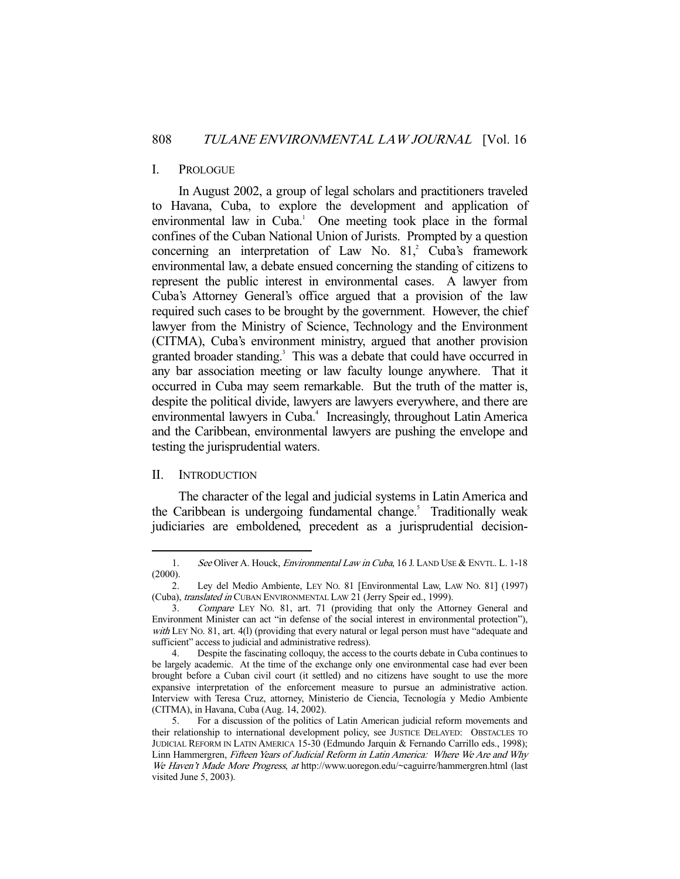#### I. PROLOGUE

 In August 2002, a group of legal scholars and practitioners traveled to Havana, Cuba, to explore the development and application of environmental law in Cuba.<sup>1</sup> One meeting took place in the formal confines of the Cuban National Union of Jurists. Prompted by a question concerning an interpretation of Law No.  $81<sup>2</sup>$  Cuba's framework environmental law, a debate ensued concerning the standing of citizens to represent the public interest in environmental cases. A lawyer from Cuba's Attorney General's office argued that a provision of the law required such cases to be brought by the government. However, the chief lawyer from the Ministry of Science, Technology and the Environment (CITMA), Cuba's environment ministry, argued that another provision granted broader standing.<sup>3</sup> This was a debate that could have occurred in any bar association meeting or law faculty lounge anywhere. That it occurred in Cuba may seem remarkable. But the truth of the matter is, despite the political divide, lawyers are lawyers everywhere, and there are environmental lawyers in Cuba.<sup>4</sup> Increasingly, throughout Latin America and the Caribbean, environmental lawyers are pushing the envelope and testing the jurisprudential waters.

## II. INTRODUCTION

-

 The character of the legal and judicial systems in Latin America and the Caribbean is undergoing fundamental change.<sup>5</sup> Traditionally weak judiciaries are emboldened, precedent as a jurisprudential decision-

<sup>1.</sup> See Oliver A. Houck, *Environmental Law in Cuba*, 16 J. LAND USE & ENVTL. L. 1-18 (2000).

 <sup>2.</sup> Ley del Medio Ambiente, LEY NO. 81 [Environmental Law, LAW NO. 81] (1997) (Cuba), translated in CUBAN ENVIRONMENTAL LAW 21 (Jerry Speir ed., 1999).

 <sup>3.</sup> Compare LEY NO. 81, art. 71 (providing that only the Attorney General and Environment Minister can act "in defense of the social interest in environmental protection"), with LEY No. 81, art. 4(1) (providing that every natural or legal person must have "adequate and sufficient" access to judicial and administrative redress).

 <sup>4.</sup> Despite the fascinating colloquy, the access to the courts debate in Cuba continues to be largely academic. At the time of the exchange only one environmental case had ever been brought before a Cuban civil court (it settled) and no citizens have sought to use the more expansive interpretation of the enforcement measure to pursue an administrative action. Interview with Teresa Cruz, attorney, Ministerio de Ciencia, Tecnología y Medio Ambiente (CITMA), in Havana, Cuba (Aug. 14, 2002).

 <sup>5.</sup> For a discussion of the politics of Latin American judicial reform movements and their relationship to international development policy, see JUSTICE DELAYED: OBSTACLES TO JUDICIAL REFORM IN LATIN AMERICA 15-30 (Edmundo Jarquin & Fernando Carrillo eds., 1998); Linn Hammergren, Fifteen Years of Judicial Reform in Latin America: Where We Are and Why We Haven't Made More Progress, at http://www.uoregon.edu/~caguirre/hammergren.html (last visited June 5, 2003).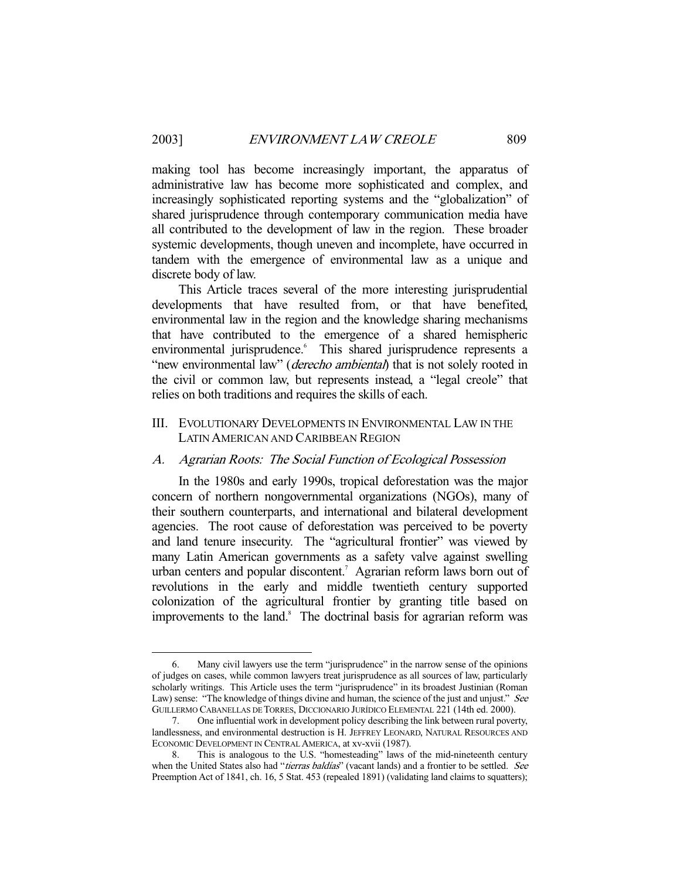making tool has become increasingly important, the apparatus of administrative law has become more sophisticated and complex, and increasingly sophisticated reporting systems and the "globalization" of shared jurisprudence through contemporary communication media have all contributed to the development of law in the region. These broader systemic developments, though uneven and incomplete, have occurred in tandem with the emergence of environmental law as a unique and discrete body of law.

 This Article traces several of the more interesting jurisprudential developments that have resulted from, or that have benefited, environmental law in the region and the knowledge sharing mechanisms that have contributed to the emergence of a shared hemispheric environmental jurisprudence.<sup>6</sup> This shared jurisprudence represents a "new environmental law" (*derecho ambiental*) that is not solely rooted in the civil or common law, but represents instead, a "legal creole" that relies on both traditions and requires the skills of each.

III. EVOLUTIONARY DEVELOPMENTS IN ENVIRONMENTAL LAW IN THE LATIN AMERICAN AND CARIBBEAN REGION

### A. Agrarian Roots: The Social Function of Ecological Possession

 In the 1980s and early 1990s, tropical deforestation was the major concern of northern nongovernmental organizations (NGOs), many of their southern counterparts, and international and bilateral development agencies. The root cause of deforestation was perceived to be poverty and land tenure insecurity. The "agricultural frontier" was viewed by many Latin American governments as a safety valve against swelling urban centers and popular discontent.<sup>7</sup> Agrarian reform laws born out of revolutions in the early and middle twentieth century supported colonization of the agricultural frontier by granting title based on improvements to the land.<sup>8</sup> The doctrinal basis for agrarian reform was

 <sup>6.</sup> Many civil lawyers use the term "jurisprudence" in the narrow sense of the opinions of judges on cases, while common lawyers treat jurisprudence as all sources of law, particularly scholarly writings. This Article uses the term "jurisprudence" in its broadest Justinian (Roman Law) sense: "The knowledge of things divine and human, the science of the just and unjust." See GUILLERMO CABANELLAS DE TORRES, DICCIONARIO JURÍDICO ELEMENTAL 221 (14th ed. 2000).

 <sup>7.</sup> One influential work in development policy describing the link between rural poverty, landlessness, and environmental destruction is H. JEFFREY LEONARD, NATURAL RESOURCES AND ECONOMIC DEVELOPMENT IN CENTRAL AMERICA, at xv-xvii (1987).

 <sup>8.</sup> This is analogous to the U.S. "homesteading" laws of the mid-nineteenth century when the United States also had "tierras baldías" (vacant lands) and a frontier to be settled. See Preemption Act of 1841, ch. 16, 5 Stat. 453 (repealed 1891) (validating land claims to squatters);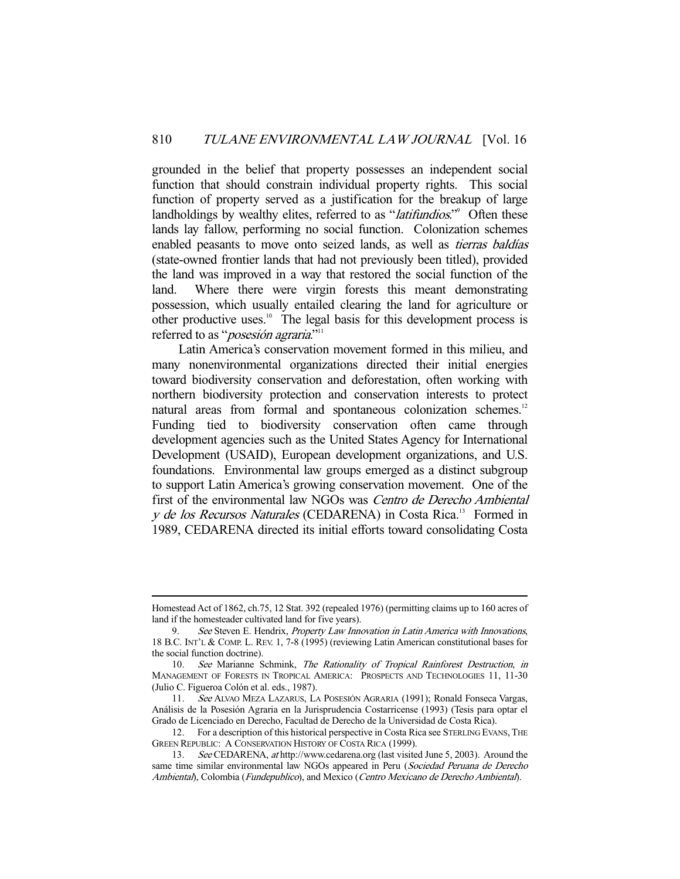grounded in the belief that property possesses an independent social function that should constrain individual property rights. This social function of property served as a justification for the breakup of large landholdings by wealthy elites, referred to as "latifundios."<sup>9</sup> Often these lands lay fallow, performing no social function. Colonization schemes enabled peasants to move onto seized lands, as well as tierras baldías (state-owned frontier lands that had not previously been titled), provided the land was improved in a way that restored the social function of the land. Where there were virgin forests this meant demonstrating possession, which usually entailed clearing the land for agriculture or other productive uses.<sup>10</sup> The legal basis for this development process is referred to as "*posesión agraria*."<sup>11</sup>

 Latin America's conservation movement formed in this milieu, and many nonenvironmental organizations directed their initial energies toward biodiversity conservation and deforestation, often working with northern biodiversity protection and conservation interests to protect natural areas from formal and spontaneous colonization schemes.<sup>12</sup> Funding tied to biodiversity conservation often came through development agencies such as the United States Agency for International Development (USAID), European development organizations, and U.S. foundations. Environmental law groups emerged as a distinct subgroup to support Latin America's growing conservation movement. One of the first of the environmental law NGOs was Centro de Derecho Ambiental <sup>y</sup>de los Recursos Naturales (CEDARENA) in Costa Rica.13 Formed in 1989, CEDARENA directed its initial efforts toward consolidating Costa

Homestead Act of 1862, ch.75, 12 Stat. 392 (repealed 1976) (permitting claims up to 160 acres of land if the homesteader cultivated land for five years).

<sup>9.</sup> See Steven E. Hendrix, *Property Law Innovation in Latin America with Innovations*, 18 B.C. INT'L & COMP. L. REV. 1, 7-8 (1995) (reviewing Latin American constitutional bases for the social function doctrine).

<sup>10.</sup> See Marianne Schmink, The Rationality of Tropical Rainforest Destruction, in MANAGEMENT OF FORESTS IN TROPICAL AMERICA: PROSPECTS AND TECHNOLOGIES 11, 11-30 (Julio C. Figueroa Colón et al. eds., 1987).

 <sup>11.</sup> See ALVAO MEZA LAZARUS, LA POSESIÓN AGRARIA (1991); Ronald Fonseca Vargas, Análisis de la Posesión Agraria en la Jurisprudencia Costarricense (1993) (Tesis para optar el Grado de Licenciado en Derecho, Facultad de Derecho de la Universidad de Costa Rica).

 <sup>12.</sup> For a description of this historical perspective in Costa Rica see STERLING EVANS, THE GREEN REPUBLIC: A CONSERVATION HISTORY OF COSTA RICA (1999).

 <sup>13.</sup> See CEDARENA, at http://www.cedarena.org (last visited June 5, 2003). Around the same time similar environmental law NGOs appeared in Peru (Sociedad Peruana de Derecho Ambiental), Colombia (Fundepublico), and Mexico (Centro Mexicano de Derecho Ambiental).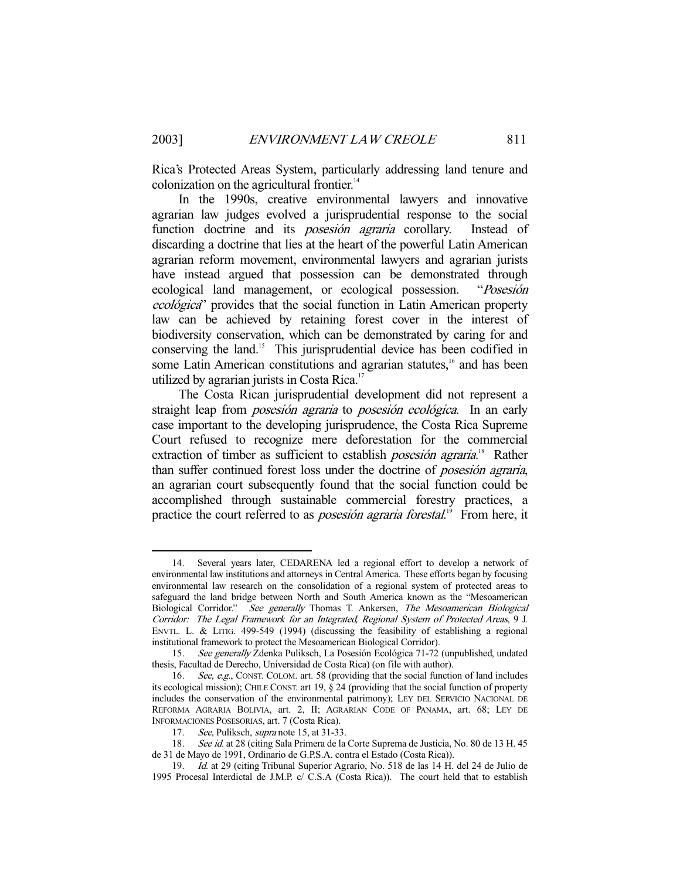Rica's Protected Areas System, particularly addressing land tenure and colonization on the agricultural frontier. $14$ 

 In the 1990s, creative environmental lawyers and innovative agrarian law judges evolved a jurisprudential response to the social function doctrine and its *posesión agraria* corollary. Instead of discarding a doctrine that lies at the heart of the powerful Latin American agrarian reform movement, environmental lawyers and agrarian jurists have instead argued that possession can be demonstrated through ecological land management, or ecological possession. "Posesión ecológica" provides that the social function in Latin American property law can be achieved by retaining forest cover in the interest of biodiversity conservation, which can be demonstrated by caring for and conserving the land.15 This jurisprudential device has been codified in some Latin American constitutions and agrarian statutes,<sup>16</sup> and has been utilized by agrarian jurists in Costa Rica.<sup>17</sup>

 The Costa Rican jurisprudential development did not represent a straight leap from *posesión agraria* to *posesión ecológica*. In an early case important to the developing jurisprudence, the Costa Rica Supreme Court refused to recognize mere deforestation for the commercial extraction of timber as sufficient to establish *posesión agraria*.<sup>18</sup> Rather than suffer continued forest loss under the doctrine of posesión agraria, an agrarian court subsequently found that the social function could be accomplished through sustainable commercial forestry practices, a practice the court referred to as *posesión agraria forestal*.<sup>19</sup> From here, it

 <sup>14.</sup> Several years later, CEDARENA led a regional effort to develop a network of environmental law institutions and attorneys in Central America. These efforts began by focusing environmental law research on the consolidation of a regional system of protected areas to safeguard the land bridge between North and South America known as the "Mesoamerican Biological Corridor." See generally Thomas T. Ankersen, The Mesoamerican Biological Corridor: The Legal Framework for an Integrated, Regional System of Protected Areas, 9 J. ENVTL. L. & LITIG. 499-549 (1994) (discussing the feasibility of establishing a regional institutional framework to protect the Mesoamerican Biological Corridor).

 <sup>15.</sup> See generally Zdenka Puliksch, La Posesión Ecológica 71-72 (unpublished, undated thesis, Facultad de Derecho, Universidad de Costa Rica) (on file with author).

<sup>16.</sup> See, e.g., CONST. COLOM. art. 58 (providing that the social function of land includes its ecological mission); CHILE CONST. art 19, § 24 (providing that the social function of property includes the conservation of the environmental patrimony); LEY DEL SERVICIO NACIONAL DE REFORMA AGRARIA BOLIVIA, art. 2, II; AGRARIAN CODE OF PANAMA, art. 68; LEY DE INFORMACIONES POSESORIAS, art. 7 (Costa Rica).

<sup>17.</sup> See, Puliksch, supra note 15, at 31-33.

 <sup>18.</sup> See id. at 28 (citing Sala Primera de la Corte Suprema de Justicia, No. 80 de 13 H. 45 de 31 de Mayo de 1991, Ordinario de G.P.S.A. contra el Estado (Costa Rica)).

 <sup>19.</sup> Id. at 29 (citing Tribunal Superior Agrario, No. 518 de las 14 H. del 24 de Julio de 1995 Procesal Interdictal de J.M.P. c/ C.S.A (Costa Rica)). The court held that to establish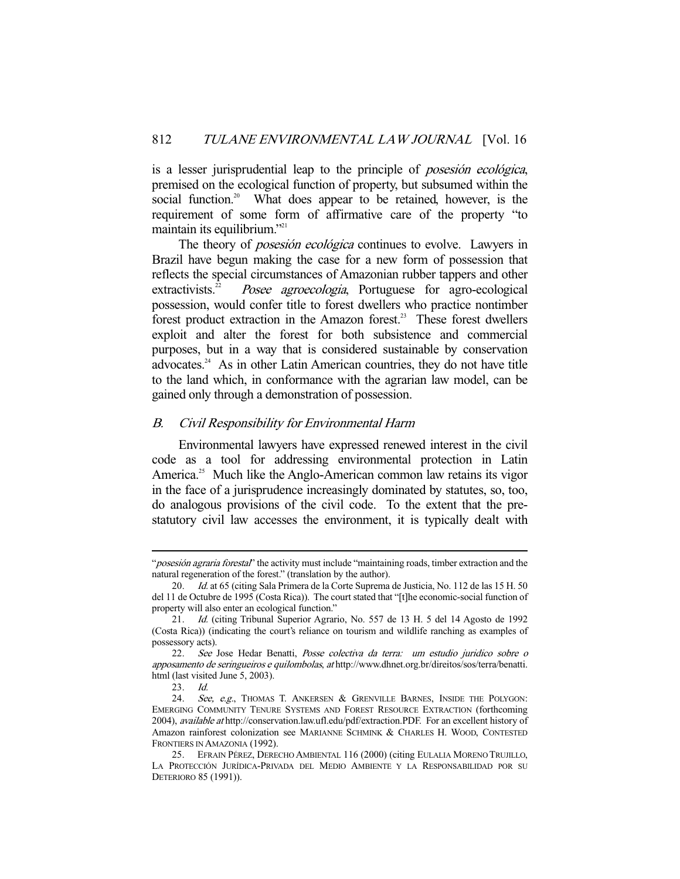is a lesser jurisprudential leap to the principle of posesión ecológica, premised on the ecological function of property, but subsumed within the social function.<sup>20</sup> What does appear to be retained, however, is the requirement of some form of affirmative care of the property "to maintain its equilibrium."<sup>21</sup>

The theory of *posesión ecológica* continues to evolve. Lawyers in Brazil have begun making the case for a new form of possession that reflects the special circumstances of Amazonian rubber tappers and other  $extractivists.<sup>22</sup> *Posee agroecologia*, Portuguese for agro-ecological$ possession, would confer title to forest dwellers who practice nontimber forest product extraction in the Amazon forest.<sup>23</sup> These forest dwellers exploit and alter the forest for both subsistence and commercial purposes, but in a way that is considered sustainable by conservation advocates.<sup>24</sup> As in other Latin American countries, they do not have title to the land which, in conformance with the agrarian law model, can be gained only through a demonstration of possession.

## B. Civil Responsibility for Environmental Harm

 Environmental lawyers have expressed renewed interest in the civil code as a tool for addressing environmental protection in Latin America.<sup>25</sup> Much like the Anglo-American common law retains its vigor in the face of a jurisprudence increasingly dominated by statutes, so, too, do analogous provisions of the civil code. To the extent that the prestatutory civil law accesses the environment, it is typically dealt with

<sup>&</sup>quot;posesión agraria forestal" the activity must include "maintaining roads, timber extraction and the natural regeneration of the forest." (translation by the author).

<sup>20.</sup> Id. at 65 (citing Sala Primera de la Corte Suprema de Justicia, No. 112 de las 15 H. 50 del 11 de Octubre de 1995 (Costa Rica)). The court stated that "[t]he economic-social function of property will also enter an ecological function."

 <sup>21.</sup> Id. (citing Tribunal Superior Agrario, No. 557 de 13 H. 5 del 14 Agosto de 1992 (Costa Rica)) (indicating the court's reliance on tourism and wildlife ranching as examples of possessory acts).

 <sup>22.</sup> See Jose Hedar Benatti, Posse colectiva da terra: um estudio juridico sobre o apposamento de seringueiros e quilombolas, at http://www.dhnet.org.br/direitos/sos/terra/benatti. html (last visited June 5, 2003).

<sup>23.</sup> *Id.*<br>24. *Sec* See, e.g., THOMAS T. ANKERSEN & GRENVILLE BARNES, INSIDE THE POLYGON: EMERGING COMMUNITY TENURE SYSTEMS AND FOREST RESOURCE EXTRACTION (forthcoming 2004), available at http://conservation.law.ufl.edu/pdf/extraction.PDF. For an excellent history of Amazon rainforest colonization see MARIANNE SCHMINK & CHARLES H. WOOD, CONTESTED FRONTIERS IN AMAZONIA (1992).

 <sup>25.</sup> EFRAIN PÉREZ, DERECHO AMBIENTAL 116 (2000) (citing EULALIA MORENO TRUJILLO, LA PROTECCIÓN JURÍDICA-PRIVADA DEL MEDIO AMBIENTE Y LA RESPONSABILIDAD POR SU DETERIORO 85 (1991)).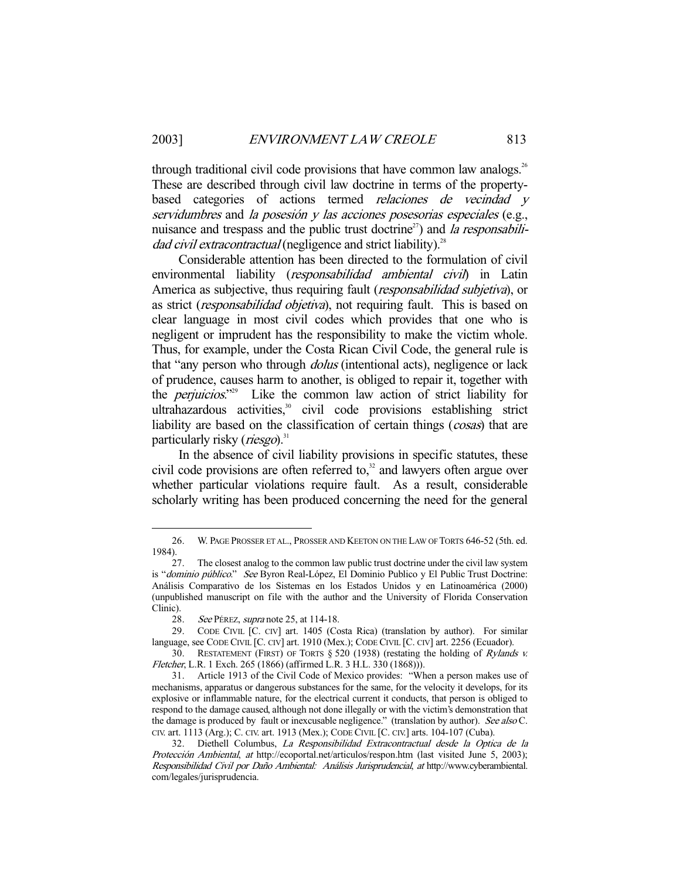through traditional civil code provisions that have common law analogs.<sup>26</sup> These are described through civil law doctrine in terms of the propertybased categories of actions termed *relaciones de vecindad* y servidumbres and la posesión y las acciones posesorias especiales (e.g., nuisance and trespass and the public trust doctrine<sup>27</sup>) and *la responsabili*dad civil extracontractual (negligence and strict liability).<sup>28</sup>

 Considerable attention has been directed to the formulation of civil environmental liability (responsabilidad ambiental civil) in Latin America as subjective, thus requiring fault (responsabilidad subjetiva), or as strict (*responsabilidad objetiva*), not requiring fault. This is based on clear language in most civil codes which provides that one who is negligent or imprudent has the responsibility to make the victim whole. Thus, for example, under the Costa Rican Civil Code, the general rule is that "any person who through *dolus* (intentional acts), negligence or lack of prudence, causes harm to another, is obliged to repair it, together with the *perjuicios*.<sup> $229$ </sup> Like the common law action of strict liability for ultrahazardous activities,<sup>30</sup> civil code provisions establishing strict liability are based on the classification of certain things (*cosas*) that are particularly risky ( $riesgo$ ).<sup>31</sup>

 In the absence of civil liability provisions in specific statutes, these civil code provisions are often referred to, $32$  and lawyers often argue over whether particular violations require fault. As a result, considerable scholarly writing has been produced concerning the need for the general

 <sup>26.</sup> W. PAGE PROSSER ET AL., PROSSER AND KEETON ON THE LAW OF TORTS 646-52 (5th. ed. 1984).

 <sup>27.</sup> The closest analog to the common law public trust doctrine under the civil law system is "dominio público." See Byron Real-López, El Dominio Publico y El Public Trust Doctrine: Análisis Comparativo de los Sistemas en los Estados Unidos y en Latinoamérica (2000) (unpublished manuscript on file with the author and the University of Florida Conservation Clinic).

<sup>28.</sup> See PÉREZ, supra note 25, at 114-18.

 <sup>29.</sup> CODE CIVIL [C. CIV] art. 1405 (Costa Rica) (translation by author). For similar language, see CODE CIVIL [C. CIV] art. 1910 (Mex.); CODE CIVIL [C. CIV] art. 2256 (Ecuador).

 <sup>30.</sup> RESTATEMENT (FIRST) OF TORTS § 520 (1938) (restating the holding of Rylands v. Fletcher, L.R. 1 Exch. 265 (1866) (affirmed L.R. 3 H.L. 330 (1868))).

 <sup>31.</sup> Article 1913 of the Civil Code of Mexico provides: "When a person makes use of mechanisms, apparatus or dangerous substances for the same, for the velocity it develops, for its explosive or inflammable nature, for the electrical current it conducts, that person is obliged to respond to the damage caused, although not done illegally or with the victim's demonstration that the damage is produced by fault or inexcusable negligence." (translation by author). See also C. CIV. art. 1113 (Arg.); C. CIV. art. 1913 (Mex.); CODE CIVIL [C. CIV.] arts. 104-107 (Cuba).

 <sup>32.</sup> Diethell Columbus, La Responsibilidad Extracontractual desde la Optica de la Protección Ambiental, at http://ecoportal.net/articulos/respon.htm (last visited June 5, 2003); Responsibilidad Civil por Daño Ambiental: Análisis Jurisprudencial, at http://www.cyberambiental. com/legales/jurisprudencia.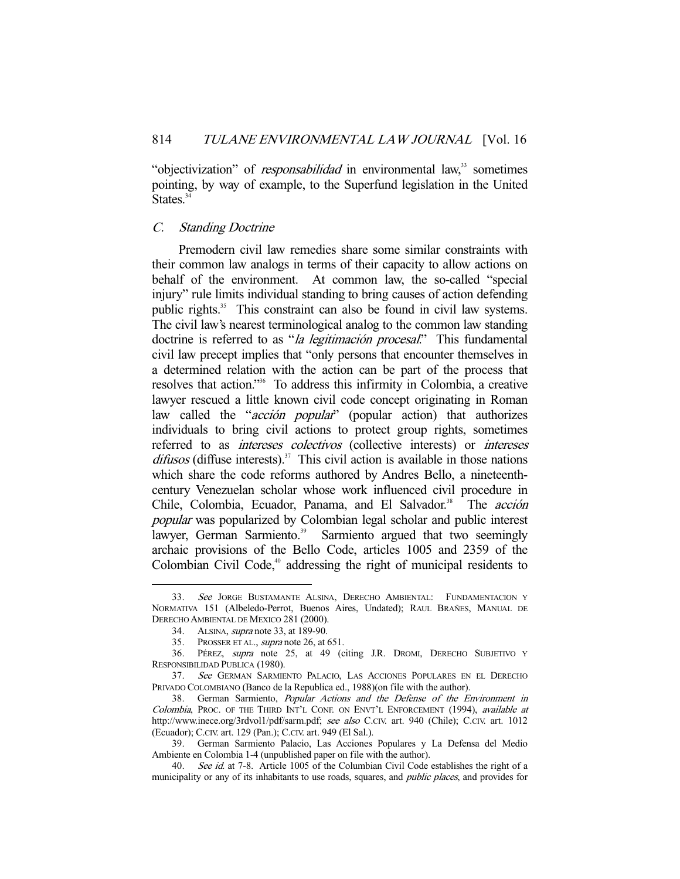"objectivization" of *responsabilidad* in environmental law,<sup>33</sup> sometimes pointing, by way of example, to the Superfund legislation in the United States.<sup>34</sup>

## C. Standing Doctrine

 Premodern civil law remedies share some similar constraints with their common law analogs in terms of their capacity to allow actions on behalf of the environment. At common law, the so-called "special injury" rule limits individual standing to bring causes of action defending public rights.<sup>35</sup> This constraint can also be found in civil law systems. The civil law's nearest terminological analog to the common law standing doctrine is referred to as "la legitimación procesal." This fundamental civil law precept implies that "only persons that encounter themselves in a determined relation with the action can be part of the process that resolves that action."36 To address this infirmity in Colombia, a creative lawyer rescued a little known civil code concept originating in Roman law called the "*acción popular*" (popular action) that authorizes individuals to bring civil actions to protect group rights, sometimes referred to as intereses colectivos (collective interests) or intereses  $difusos$  (diffuse interests).<sup>37</sup> This civil action is available in those nations which share the code reforms authored by Andres Bello, a nineteenthcentury Venezuelan scholar whose work influenced civil procedure in Chile, Colombia, Ecuador, Panama, and El Salvador.<sup>38</sup> The acción popular was popularized by Colombian legal scholar and public interest lawyer, German Sarmiento.<sup>39</sup> Sarmiento argued that two seemingly archaic provisions of the Bello Code, articles 1005 and 2359 of the Colombian Civil Code, $40$  addressing the right of municipal residents to

<sup>33.</sup> See JORGE BUSTAMANTE ALSINA, DERECHO AMBIENTAL: FUNDAMENTACION Y NORMATIVA 151 (Albeledo-Perrot, Buenos Aires, Undated); RAUL BRAÑES, MANUAL DE DERECHO AMBIENTAL DE MEXICO 281 (2000).

 <sup>34.</sup> ALSINA, supra note 33, at 189-90.

 <sup>35.</sup> PROSSER ET AL., supra note 26, at 651.

 <sup>36.</sup> PÉREZ, supra note 25, at 49 (citing J.R. DROMI, DERECHO SUBJETIVO Y RESPONSIBILIDAD PUBLICA (1980).

 <sup>37.</sup> See GERMAN SARMIENTO PALACIO, LAS ACCIONES POPULARES EN EL DERECHO PRIVADO COLOMBIANO (Banco de la Republica ed., 1988)(on file with the author).

 <sup>38.</sup> German Sarmiento, Popular Actions and the Defense of the Environment in Colombia, PROC. OF THE THIRD INT'L CONF. ON ENVT'L ENFORCEMENT (1994), available at http://www.inece.org/3rdvol1/pdf/sarm.pdf; see also C.CIV. art. 940 (Chile); C.CIV. art. 1012 (Ecuador); C.CIV. art. 129 (Pan.); C.CIV. art. 949 (El Sal.).

 <sup>39.</sup> German Sarmiento Palacio, Las Acciones Populares y La Defensa del Medio Ambiente en Colombia 1-4 (unpublished paper on file with the author).

<sup>40.</sup> See id. at 7-8. Article 1005 of the Columbian Civil Code establishes the right of a municipality or any of its inhabitants to use roads, squares, and *public places*, and provides for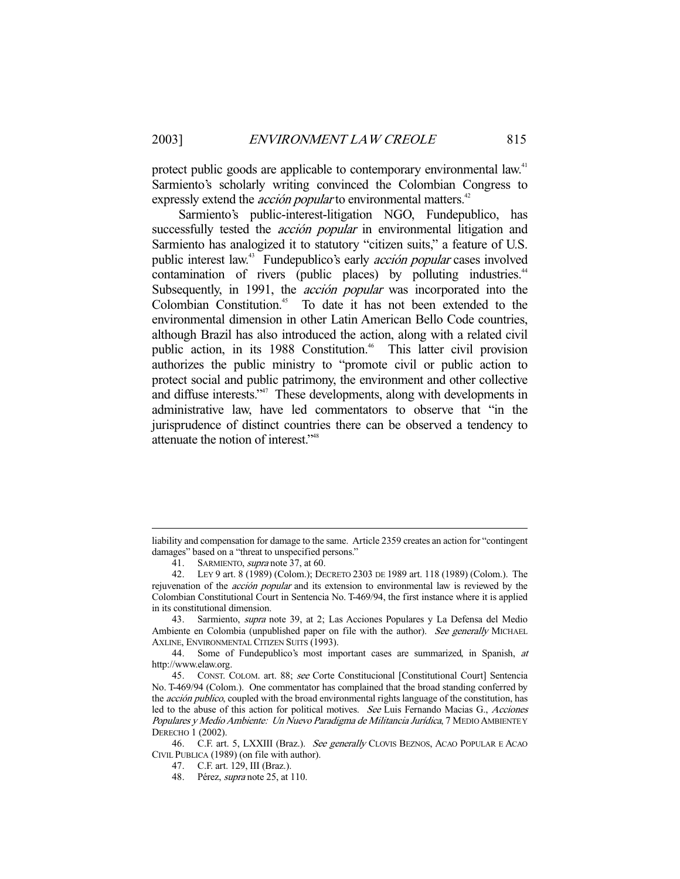-

protect public goods are applicable to contemporary environmental law.<sup>41</sup> Sarmiento's scholarly writing convinced the Colombian Congress to expressly extend the *acción popular* to environmental matters.<sup>42</sup>

 Sarmiento's public-interest-litigation NGO, Fundepublico, has successfully tested the *acción popular* in environmental litigation and Sarmiento has analogized it to statutory "citizen suits," a feature of U.S. public interest law.<sup>43</sup> Fundepublico's early *acción popular* cases involved contamination of rivers (public places) by polluting industries.<sup>44</sup> Subsequently, in 1991, the *acción popular* was incorporated into the Colombian Constitution.45 To date it has not been extended to the environmental dimension in other Latin American Bello Code countries, although Brazil has also introduced the action, along with a related civil public action, in its 1988 Constitution.<sup>46</sup> This latter civil provision authorizes the public ministry to "promote civil or public action to protect social and public patrimony, the environment and other collective and diffuse interests."<sup>47</sup> These developments, along with developments in administrative law, have led commentators to observe that "in the jurisprudence of distinct countries there can be observed a tendency to attenuate the notion of interest."48

liability and compensation for damage to the same. Article 2359 creates an action for "contingent damages" based on a "threat to unspecified persons."

<sup>41.</sup> SARMIENTO, *supra* note 37, at 60.

 <sup>42.</sup> LEY 9 art. 8 (1989) (Colom.); DECRETO 2303 DE 1989 art. 118 (1989) (Colom.). The rejuvenation of the *acción popular* and its extension to environmental law is reviewed by the Colombian Constitutional Court in Sentencia No. T-469/94, the first instance where it is applied in its constitutional dimension.

 <sup>43.</sup> Sarmiento, supra note 39, at 2; Las Acciones Populares y La Defensa del Medio Ambiente en Colombia (unpublished paper on file with the author). See generally MICHAEL AXLINE, ENVIRONMENTAL CITIZEN SUITS (1993).

 <sup>44.</sup> Some of Fundepublico's most important cases are summarized, in Spanish, at http://www.elaw.org.

 <sup>45.</sup> CONST. COLOM. art. 88; see Corte Constitucional [Constitutional Court] Sentencia No. T-469/94 (Colom.). One commentator has complained that the broad standing conferred by the *acción publico*, coupled with the broad environmental rights language of the constitution, has led to the abuse of this action for political motives. See Luis Fernando Macias G., Acciones Populares y Medio Ambiente: Un Nuevo Paradigma de Militancia Jurídica, 7 MEDIO AMBIENTE Y DERECHO 1 (2002).

<sup>46.</sup> C.F. art. 5, LXXIII (Braz.). See generally CLOVIS BEZNOS, ACAO POPULAR E ACAO CIVIL PUBLICA (1989) (on file with author).

 <sup>47.</sup> C.F. art. 129, III (Braz.).

<sup>48.</sup> Pérez, *supra* note 25, at 110.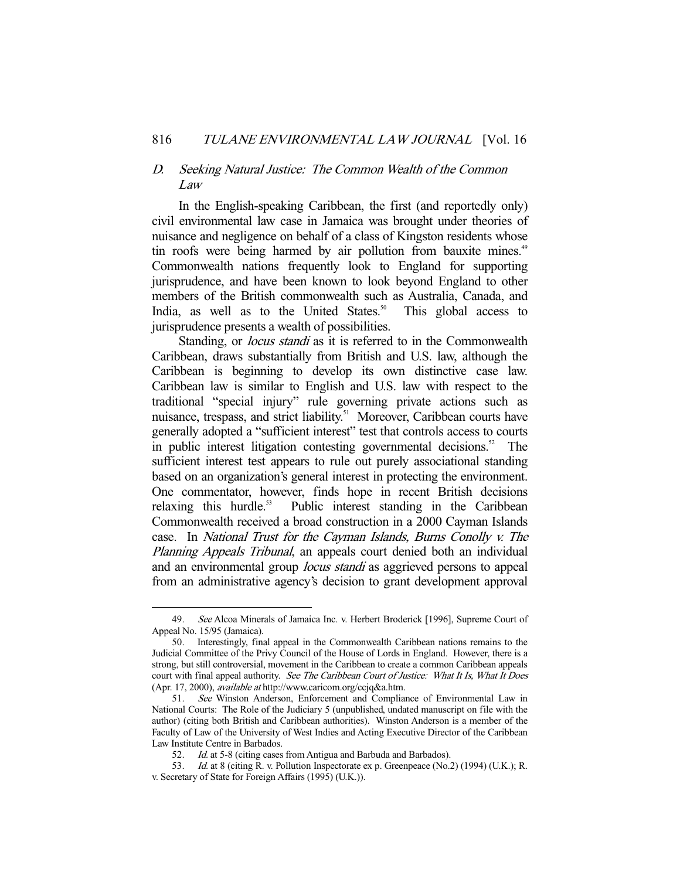## D. Seeking Natural Justice: The Common Wealth of the Common Law

 In the English-speaking Caribbean, the first (and reportedly only) civil environmental law case in Jamaica was brought under theories of nuisance and negligence on behalf of a class of Kingston residents whose tin roofs were being harmed by air pollution from bauxite mines.<sup>49</sup> Commonwealth nations frequently look to England for supporting jurisprudence, and have been known to look beyond England to other members of the British commonwealth such as Australia, Canada, and India, as well as to the United States.<sup>50</sup> This global access to jurisprudence presents a wealth of possibilities.

Standing, or *locus standi* as it is referred to in the Commonwealth Caribbean, draws substantially from British and U.S. law, although the Caribbean is beginning to develop its own distinctive case law. Caribbean law is similar to English and U.S. law with respect to the traditional "special injury" rule governing private actions such as nuisance, trespass, and strict liability.<sup>51</sup> Moreover, Caribbean courts have generally adopted a "sufficient interest" test that controls access to courts in public interest litigation contesting governmental decisions.<sup>52</sup> The sufficient interest test appears to rule out purely associational standing based on an organization's general interest in protecting the environment. One commentator, however, finds hope in recent British decisions relaxing this hurdle.<sup>53</sup> Public interest standing in the Caribbean Commonwealth received a broad construction in a 2000 Cayman Islands case. In National Trust for the Cayman Islands, Burns Conolly v. The Planning Appeals Tribunal, an appeals court denied both an individual and an environmental group *locus standi* as aggrieved persons to appeal from an administrative agency's decision to grant development approval

 <sup>49.</sup> See Alcoa Minerals of Jamaica Inc. v. Herbert Broderick [1996], Supreme Court of Appeal No. 15/95 (Jamaica).

 <sup>50.</sup> Interestingly, final appeal in the Commonwealth Caribbean nations remains to the Judicial Committee of the Privy Council of the House of Lords in England. However, there is a strong, but still controversial, movement in the Caribbean to create a common Caribbean appeals court with final appeal authority. See The Caribbean Court of Justice: What It Is, What It Does (Apr. 17, 2000), available at http://www.caricom.org/ccjq&a.htm.

 <sup>51.</sup> See Winston Anderson, Enforcement and Compliance of Environmental Law in National Courts: The Role of the Judiciary 5 (unpublished, undated manuscript on file with the author) (citing both British and Caribbean authorities). Winston Anderson is a member of the Faculty of Law of the University of West Indies and Acting Executive Director of the Caribbean Law Institute Centre in Barbados.

<sup>52.</sup> Id. at 5-8 (citing cases from Antigua and Barbuda and Barbados).

 <sup>53.</sup> Id. at 8 (citing R. v. Pollution Inspectorate ex p. Greenpeace (No.2) (1994) (U.K.); R. v. Secretary of State for Foreign Affairs (1995) (U.K.)).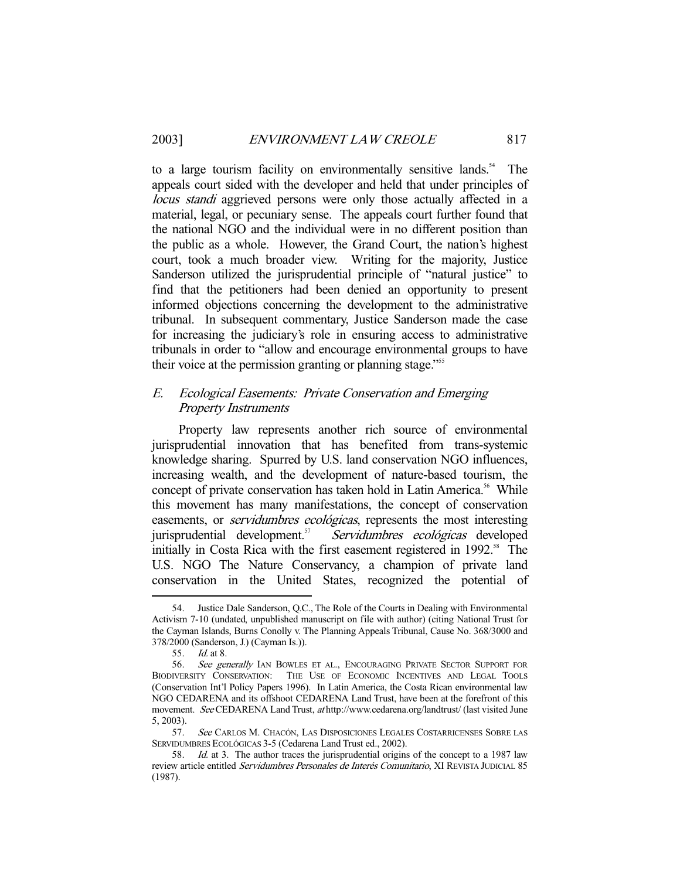to a large tourism facility on environmentally sensitive lands.<sup>54</sup> The appeals court sided with the developer and held that under principles of *locus standi* aggrieved persons were only those actually affected in a material, legal, or pecuniary sense. The appeals court further found that the national NGO and the individual were in no different position than the public as a whole. However, the Grand Court, the nation's highest court, took a much broader view. Writing for the majority, Justice Sanderson utilized the jurisprudential principle of "natural justice" to find that the petitioners had been denied an opportunity to present informed objections concerning the development to the administrative tribunal. In subsequent commentary, Justice Sanderson made the case for increasing the judiciary's role in ensuring access to administrative tribunals in order to "allow and encourage environmental groups to have their voice at the permission granting or planning stage."55

# E. Ecological Easements: Private Conservation and Emerging Property Instruments

 Property law represents another rich source of environmental jurisprudential innovation that has benefited from trans-systemic knowledge sharing. Spurred by U.S. land conservation NGO influences, increasing wealth, and the development of nature-based tourism, the concept of private conservation has taken hold in Latin America.<sup>56</sup> While this movement has many manifestations, the concept of conservation easements, or *servidumbres ecológicas*, represents the most interesting jurisprudential development.<sup>57</sup> Servidumbres ecológicas developed initially in Costa Rica with the first easement registered in 1992.<sup>58</sup> The U.S. NGO The Nature Conservancy, a champion of private land conservation in the United States, recognized the potential of

Justice Dale Sanderson, Q.C., The Role of the Courts in Dealing with Environmental Activism 7-10 (undated, unpublished manuscript on file with author) (citing National Trust for the Cayman Islands, Burns Conolly v. The Planning Appeals Tribunal, Cause No. 368/3000 and 378/2000 (Sanderson, J.) (Cayman Is.)).

 <sup>55.</sup> Id. at 8.

<sup>56.</sup> See generally IAN BOWLES ET AL., ENCOURAGING PRIVATE SECTOR SUPPORT FOR BIODIVERSITY CONSERVATION: THE USE OF ECONOMIC INCENTIVES AND LEGAL TOOLS (Conservation Int'l Policy Papers 1996). In Latin America, the Costa Rican environmental law NGO CEDARENA and its offshoot CEDARENA Land Trust, have been at the forefront of this movement. See CEDARENA Land Trust, at http://www.cedarena.org/landtrust/ (last visited June 5, 2003).

<sup>57.</sup> See CARLOS M. CHACÓN, LAS DISPOSICIONES LEGALES COSTARRICENSES SOBRE LAS SERVIDUMBRES ECOLÓGICAS 3-5 (Cedarena Land Trust ed., 2002).

<sup>58.</sup> *Id.* at 3. The author traces the jurisprudential origins of the concept to a 1987 law review article entitled Servidumbres Personales de Interés Comunitario, XI REVISTA JUDICIAL 85 (1987).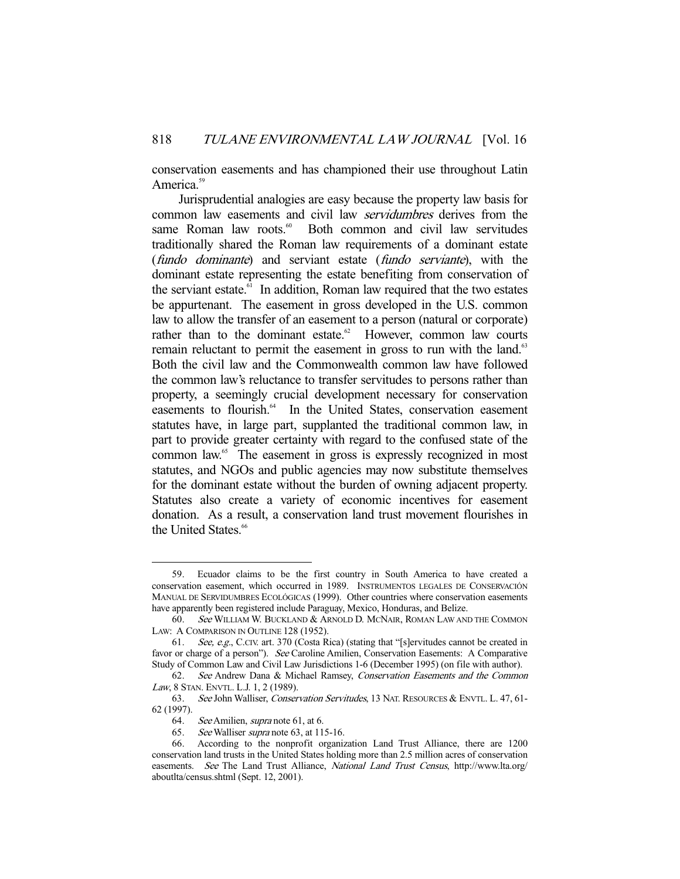conservation easements and has championed their use throughout Latin America.<sup>59</sup>

 Jurisprudential analogies are easy because the property law basis for common law easements and civil law *servidumbres* derives from the same Roman law roots.<sup>60</sup> Both common and civil law servitudes traditionally shared the Roman law requirements of a dominant estate (fundo dominante) and serviant estate (fundo serviante), with the dominant estate representing the estate benefiting from conservation of the serviant estate.<sup> $\overline{61}$ </sup> In addition, Roman law required that the two estates be appurtenant. The easement in gross developed in the U.S. common law to allow the transfer of an easement to a person (natural or corporate) rather than to the dominant estate. $62$  However, common law courts remain reluctant to permit the easement in gross to run with the land.<sup>63</sup> Both the civil law and the Commonwealth common law have followed the common law's reluctance to transfer servitudes to persons rather than property, a seemingly crucial development necessary for conservation easements to flourish.<sup>64</sup> In the United States, conservation easement statutes have, in large part, supplanted the traditional common law, in part to provide greater certainty with regard to the confused state of the common law.<sup>65</sup> The easement in gross is expressly recognized in most statutes, and NGOs and public agencies may now substitute themselves for the dominant estate without the burden of owning adjacent property. Statutes also create a variety of economic incentives for easement donation. As a result, a conservation land trust movement flourishes in the United States.<sup>66</sup>

 <sup>59.</sup> Ecuador claims to be the first country in South America to have created a conservation easement, which occurred in 1989. INSTRUMENTOS LEGALES DE CONSERVACIÓN MANUAL DE SERVIDUMBRES ECOLÓGICAS (1999). Other countries where conservation easements have apparently been registered include Paraguay, Mexico, Honduras, and Belize.

 <sup>60.</sup> See WILLIAM W. BUCKLAND & ARNOLD D. MCNAIR, ROMAN LAW AND THE COMMON LAW: A COMPARISON IN OUTLINE 128 (1952).

 <sup>61.</sup> See, e.g., C.CIV. art. 370 (Costa Rica) (stating that "[s]ervitudes cannot be created in favor or charge of a person"). See Caroline Amilien, Conservation Easements: A Comparative Study of Common Law and Civil Law Jurisdictions 1-6 (December 1995) (on file with author).

 <sup>62.</sup> See Andrew Dana & Michael Ramsey, Conservation Easements and the Common Law, 8 STAN. ENVTL. L.J. 1, 2 (1989).

 <sup>63.</sup> See John Walliser, Conservation Servitudes, 13 NAT. RESOURCES & ENVTL. L. 47, 61- 62 (1997).

 <sup>64.</sup> See Amilien, supra note 61, at 6.

<sup>65.</sup> See Walliser *supra* note 63, at 115-16.

 <sup>66.</sup> According to the nonprofit organization Land Trust Alliance, there are 1200 conservation land trusts in the United States holding more than 2.5 million acres of conservation easements. See The Land Trust Alliance, National Land Trust Census, http://www.lta.org/ aboutlta/census.shtml (Sept. 12, 2001).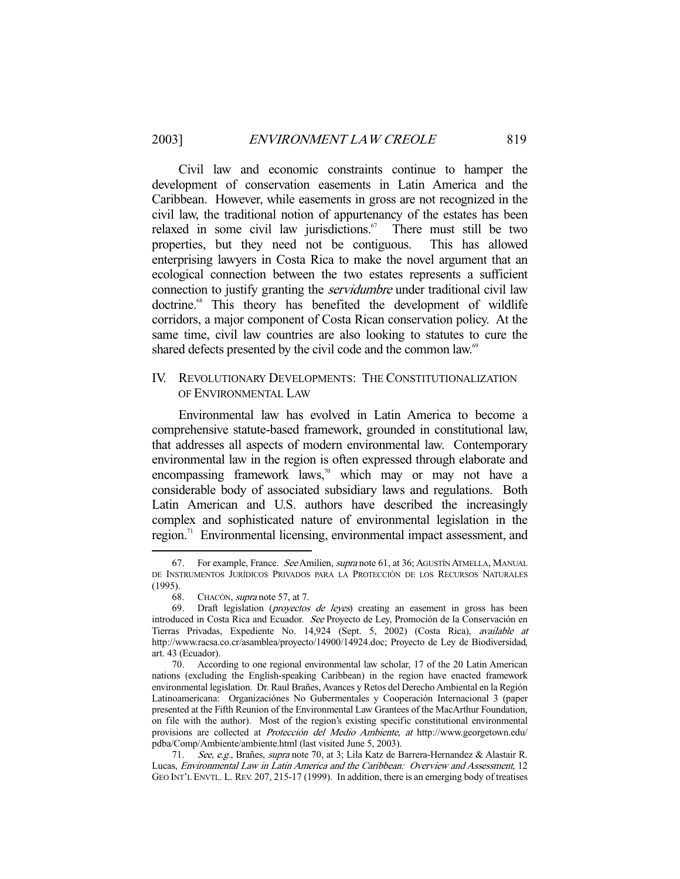Civil law and economic constraints continue to hamper the development of conservation easements in Latin America and the Caribbean. However, while easements in gross are not recognized in the civil law, the traditional notion of appurtenancy of the estates has been relaxed in some civil law jurisdictions.<sup>67</sup> There must still be two properties, but they need not be contiguous. This has allowed enterprising lawyers in Costa Rica to make the novel argument that an ecological connection between the two estates represents a sufficient connection to justify granting the *servidumbre* under traditional civil law doctrine.<sup>68</sup> This theory has benefited the development of wildlife corridors, a major component of Costa Rican conservation policy. At the same time, civil law countries are also looking to statutes to cure the shared defects presented by the civil code and the common law.<sup>69</sup>

## IV. REVOLUTIONARY DEVELOPMENTS: THE CONSTITUTIONALIZATION OF ENVIRONMENTAL LAW

 Environmental law has evolved in Latin America to become a comprehensive statute-based framework, grounded in constitutional law, that addresses all aspects of modern environmental law. Contemporary environmental law in the region is often expressed through elaborate and encompassing framework laws,<sup>70</sup> which may or may not have a considerable body of associated subsidiary laws and regulations. Both Latin American and U.S. authors have described the increasingly complex and sophisticated nature of environmental legislation in the region.<sup>71</sup> Environmental licensing, environmental impact assessment, and

 <sup>67.</sup> For example, France. See Amilien, supra note 61, at 36; AGUSTÍN ATMELLA, MANUAL DE INSTRUMENTOS JURÍDICOS PRIVADOS PARA LA PROTECCIÓN DE LOS RECURSOS NATURALES (1995).

 <sup>68.</sup> CHACÓN, supra note 57, at 7.

 <sup>69.</sup> Draft legislation (proyectos de leyes) creating an easement in gross has been introduced in Costa Rica and Ecuador. See Proyecto de Ley, Promoción de la Conservación en Tierras Privadas, Expediente No. 14,924 (Sept. 5, 2002) (Costa Rica), available at http://www.racsa.co.cr/asamblea/proyecto/14900/14924.doc; Proyecto de Ley de Biodiversidad, art. 43 (Ecuador).

 <sup>70.</sup> According to one regional environmental law scholar, 17 of the 20 Latin American nations (excluding the English-speaking Caribbean) in the region have enacted framework environmental legislation. Dr. Raul Brañes, Avances y Retos del Derecho Ambiental en la Región Latinoamericana: Organizaciónes No Gubermentales y Cooperación Internacional 3 (paper presented at the Fifth Reunion of the Environmental Law Grantees of the MacArthur Foundation, on file with the author). Most of the region's existing specific constitutional environmental provisions are collected at Protección del Medio Ambiente, at http://www.georgetown.edu/ pdba/Comp/Ambiente/ambiente.html (last visited June 5, 2003).

<sup>71.</sup> See, e.g., Brañes, *supra* note 70, at 3; Lila Katz de Barrera-Hernandez & Alastair R. Lucas, Environmental Law in Latin America and the Caribbean: Overview and Assessment, 12 GEO INT'L ENVTL. L. REV. 207, 215-17 (1999). In addition, there is an emerging body of treatises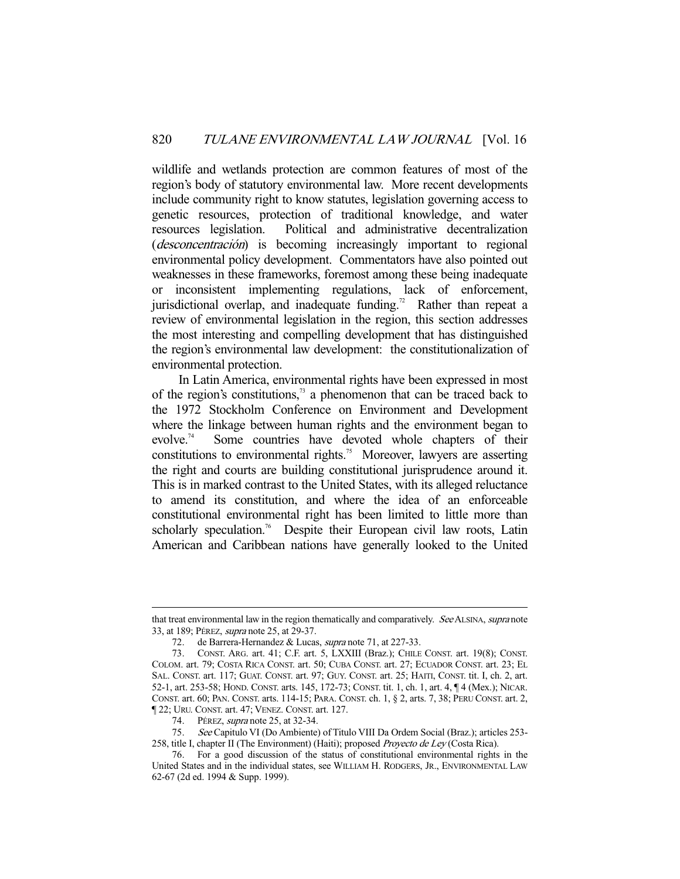wildlife and wetlands protection are common features of most of the region's body of statutory environmental law. More recent developments include community right to know statutes, legislation governing access to genetic resources, protection of traditional knowledge, and water resources legislation. Political and administrative decentralization (desconcentración) is becoming increasingly important to regional environmental policy development. Commentators have also pointed out weaknesses in these frameworks, foremost among these being inadequate or inconsistent implementing regulations, lack of enforcement, jurisdictional overlap, and inadequate funding.<sup>72</sup> Rather than repeat a review of environmental legislation in the region, this section addresses the most interesting and compelling development that has distinguished the region's environmental law development: the constitutionalization of environmental protection.

 In Latin America, environmental rights have been expressed in most of the region's constitutions, $\lambda^3$  a phenomenon that can be traced back to the 1972 Stockholm Conference on Environment and Development where the linkage between human rights and the environment began to evolve.<sup>74</sup> Some countries have devoted whole chanters of their Some countries have devoted whole chapters of their constitutions to environmental rights.<sup>75</sup> Moreover, lawyers are asserting the right and courts are building constitutional jurisprudence around it. This is in marked contrast to the United States, with its alleged reluctance to amend its constitution, and where the idea of an enforceable constitutional environmental right has been limited to little more than scholarly speculation.<sup>76</sup> Despite their European civil law roots, Latin American and Caribbean nations have generally looked to the United

that treat environmental law in the region thematically and comparatively. See ALSINA, supra note 33, at 189; PÉREZ, supra note 25, at 29-37.

 <sup>72.</sup> de Barrera-Hernandez & Lucas, supra note 71, at 227-33.

 <sup>73.</sup> CONST. ARG. art. 41; C.F. art. 5, LXXIII (Braz.); CHILE CONST. art. 19(8); CONST. COLOM. art. 79; COSTA RICA CONST. art. 50; CUBA CONST. art. 27; ECUADOR CONST. art. 23; EL SAL. CONST. art. 117; GUAT. CONST. art. 97; GUY. CONST. art. 25; HAITI, CONST. tit. I, ch. 2, art. 52-1, art. 253-58; HOND. CONST. arts. 145, 172-73; CONST. tit. 1, ch. 1, art. 4, ¶ 4 (Mex.); NICAR. CONST. art. 60; PAN. CONST. arts. 114-15; PARA. CONST. ch. 1, § 2, arts. 7, 38; PERU CONST. art. 2, ¶ 22; URU. CONST. art. 47; VENEZ. CONST. art. 127.

<sup>74.</sup> PÉREZ, *supra* note 25, at 32-34.

 <sup>75.</sup> See Capitulo VI (Do Ambiente) of Titulo VIII Da Ordem Social (Braz.); articles 253- 258, title I, chapter II (The Environment) (Haiti); proposed Proyecto de Ley (Costa Rica).

 <sup>76.</sup> For a good discussion of the status of constitutional environmental rights in the United States and in the individual states, see WILLIAM H. RODGERS, JR., ENVIRONMENTAL LAW 62-67 (2d ed. 1994 & Supp. 1999).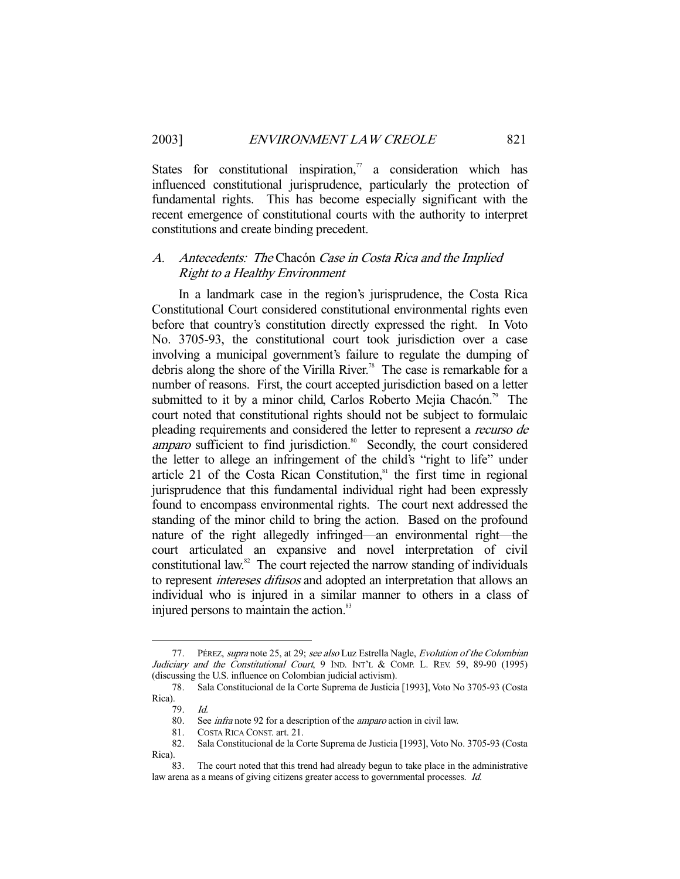States for constitutional inspiration, $\pi$  a consideration which has influenced constitutional jurisprudence, particularly the protection of fundamental rights. This has become especially significant with the recent emergence of constitutional courts with the authority to interpret constitutions and create binding precedent.

# A. Antecedents: The Chacón Case in Costa Rica and the Implied Right to a Healthy Environment

 In a landmark case in the region's jurisprudence, the Costa Rica Constitutional Court considered constitutional environmental rights even before that country's constitution directly expressed the right. In Voto No. 3705-93, the constitutional court took jurisdiction over a case involving a municipal government's failure to regulate the dumping of debris along the shore of the Virilla River.<sup>78</sup> The case is remarkable for a number of reasons. First, the court accepted jurisdiction based on a letter submitted to it by a minor child, Carlos Roberto Mejia Chacón.<sup>79</sup> The court noted that constitutional rights should not be subject to formulaic pleading requirements and considered the letter to represent a recurso de amparo sufficient to find jurisdiction.<sup>80</sup> Secondly, the court considered the letter to allege an infringement of the child's "right to life" under article 21 of the Costa Rican Constitution, $s<sup>s</sup>$  the first time in regional jurisprudence that this fundamental individual right had been expressly found to encompass environmental rights. The court next addressed the standing of the minor child to bring the action. Based on the profound nature of the right allegedly infringed—an environmental right—the court articulated an expansive and novel interpretation of civil constitutional law.<sup>82</sup> The court rejected the narrow standing of individuals to represent *intereses difusos* and adopted an interpretation that allows an individual who is injured in a similar manner to others in a class of injured persons to maintain the action.<sup>83</sup>

<sup>77.</sup> PÉREZ, *supra* note 25, at 29; see also Luz Estrella Nagle, *Evolution of the Colombian* Judiciary and the Constitutional Court, 9 IND. INT'L & COMP. L. REV. 59, 89-90 (1995) (discussing the U.S. influence on Colombian judicial activism).

 <sup>78.</sup> Sala Constitucional de la Corte Suprema de Justicia [1993], Voto No 3705-93 (Costa Rica).

 <sup>79.</sup> Id.

 <sup>80.</sup> See infra note 92 for a description of the amparo action in civil law.

 <sup>81.</sup> COSTA RICA CONST. art. 21.

 <sup>82.</sup> Sala Constitucional de la Corte Suprema de Justicia [1993], Voto No. 3705-93 (Costa Rica).

 <sup>83.</sup> The court noted that this trend had already begun to take place in the administrative law arena as a means of giving citizens greater access to governmental processes. Id.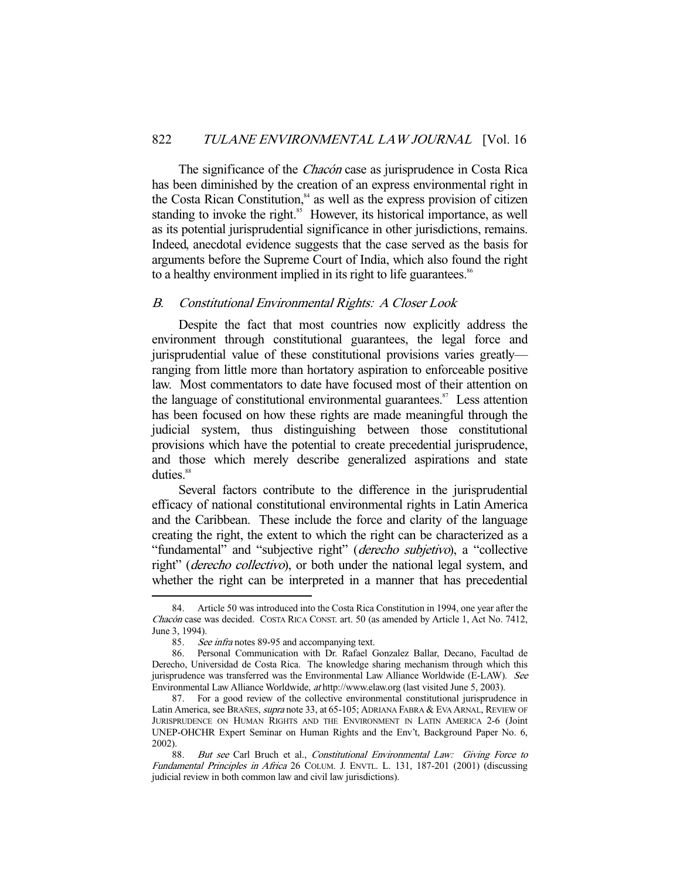The significance of the *Chacón* case as jurisprudence in Costa Rica has been diminished by the creation of an express environmental right in the Costa Rican Constitution,<sup>84</sup> as well as the express provision of citizen standing to invoke the right.<sup>85</sup> However, its historical importance, as well as its potential jurisprudential significance in other jurisdictions, remains. Indeed, anecdotal evidence suggests that the case served as the basis for arguments before the Supreme Court of India, which also found the right to a healthy environment implied in its right to life guarantees.<sup>86</sup>

## B. Constitutional Environmental Rights: A Closer Look

 Despite the fact that most countries now explicitly address the environment through constitutional guarantees, the legal force and jurisprudential value of these constitutional provisions varies greatly ranging from little more than hortatory aspiration to enforceable positive law. Most commentators to date have focused most of their attention on the language of constitutional environmental guarantees. $\delta^7$  Less attention has been focused on how these rights are made meaningful through the judicial system, thus distinguishing between those constitutional provisions which have the potential to create precedential jurisprudence, and those which merely describe generalized aspirations and state duties.<sup>88</sup>

 Several factors contribute to the difference in the jurisprudential efficacy of national constitutional environmental rights in Latin America and the Caribbean. These include the force and clarity of the language creating the right, the extent to which the right can be characterized as a "fundamental" and "subjective right" (*derecho subjetivo*), a "collective right" (*derecho collectivo*), or both under the national legal system, and whether the right can be interpreted in a manner that has precedential

 <sup>84.</sup> Article 50 was introduced into the Costa Rica Constitution in 1994, one year after the Chacón case was decided. COSTA RICA CONST. art. 50 (as amended by Article 1, Act No. 7412, June 3, 1994).

 <sup>85.</sup> See infra notes 89-95 and accompanying text.

 <sup>86.</sup> Personal Communication with Dr. Rafael Gonzalez Ballar, Decano, Facultad de Derecho, Universidad de Costa Rica. The knowledge sharing mechanism through which this jurisprudence was transferred was the Environmental Law Alliance Worldwide (E-LAW). See Environmental Law Alliance Worldwide, at http://www.elaw.org (last visited June 5, 2003).

 <sup>87.</sup> For a good review of the collective environmental constitutional jurisprudence in Latin America, see Brañes, *supra* note 33, at 65-105; ADRIANA FABRA & EVA ARNAL, REVIEW OF JURISPRUDENCE ON HUMAN RIGHTS AND THE ENVIRONMENT IN LATIN AMERICA 2-6 (Joint UNEP-OHCHR Expert Seminar on Human Rights and the Env't, Background Paper No. 6, 2002).

<sup>88.</sup> But see Carl Bruch et al., Constitutional Environmental Law: Giving Force to Fundamental Principles in Africa 26 COLUM. J. ENVTL. L. 131, 187-201 (2001) (discussing judicial review in both common law and civil law jurisdictions).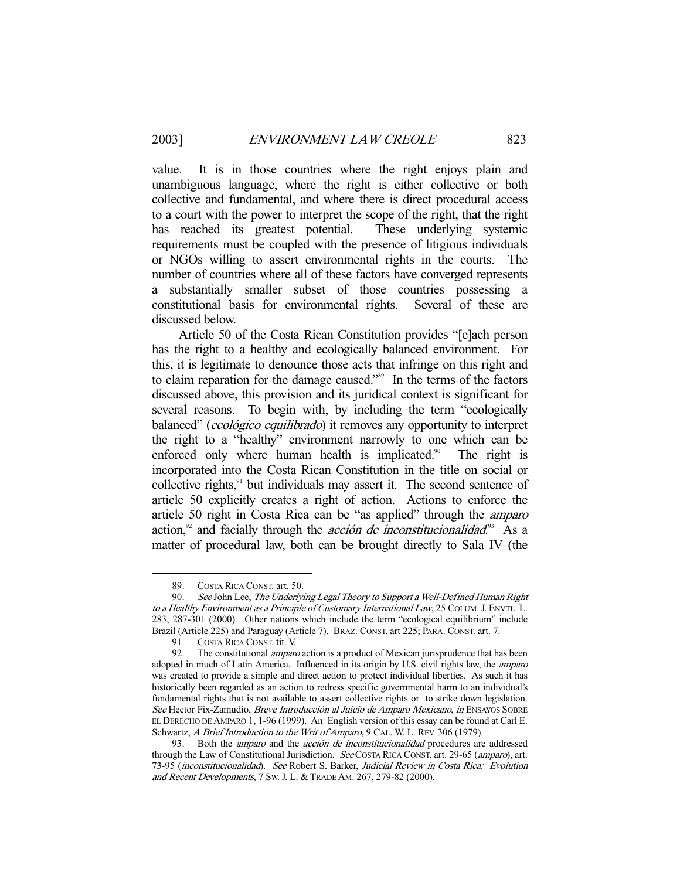value. It is in those countries where the right enjoys plain and unambiguous language, where the right is either collective or both collective and fundamental, and where there is direct procedural access to a court with the power to interpret the scope of the right, that the right has reached its greatest potential. These underlying systemic requirements must be coupled with the presence of litigious individuals or NGOs willing to assert environmental rights in the courts. The number of countries where all of these factors have converged represents a substantially smaller subset of those countries possessing a constitutional basis for environmental rights. Several of these are discussed below.

 Article 50 of the Costa Rican Constitution provides "[e]ach person has the right to a healthy and ecologically balanced environment. For this, it is legitimate to denounce those acts that infringe on this right and to claim reparation for the damage caused."89 In the terms of the factors discussed above, this provision and its juridical context is significant for several reasons. To begin with, by including the term "ecologically balanced" (*ecológico equilibrado*) it removes any opportunity to interpret the right to a "healthy" environment narrowly to one which can be enforced only where human health is implicated. $90$  The right is incorporated into the Costa Rican Constitution in the title on social or collective rights, $91$  but individuals may assert it. The second sentence of article 50 explicitly creates a right of action. Actions to enforce the article 50 right in Costa Rica can be "as applied" through the *amparo* action, $92$  and facially through the *acción de inconstitucionalidad*.<sup>93</sup> As a matter of procedural law, both can be brought directly to Sala IV (the

 <sup>89.</sup> COSTA RICA CONST. art. 50.

<sup>90.</sup> See John Lee, The Underlying Legal Theory to Support a Well-Defined Human Right to a Healthy Environment as a Principle of Customary International Law, 25 COLUM. J. ENVTL. L. 283, 287-301 (2000). Other nations which include the term "ecological equilibrium" include Brazil (Article 225) and Paraguay (Article 7). BRAZ. CONST. art 225; PARA. CONST. art. 7.

 <sup>91.</sup> COSTA RICA CONST. tit. V.

<sup>92.</sup> The constitutional *amparo* action is a product of Mexican jurisprudence that has been adopted in much of Latin America. Influenced in its origin by U.S. civil rights law, the amparo was created to provide a simple and direct action to protect individual liberties. As such it has historically been regarded as an action to redress specific governmental harm to an individual's fundamental rights that is not available to assert collective rights or to strike down legislation. See Hector Fix-Zamudio, Breve Introducción al Juicio de Amparo Mexicano, in ENSAYOS SOBRE EL DERECHO DE AMPARO 1, 1-96 (1999). An English version of this essay can be found at Carl E. Schwartz, A Brief Introduction to the Writ of Amparo, 9 CAL. W. L. REV. 306 (1979).

<sup>93.</sup> Both the *amparo* and the *acción de inconstitucionalidad* procedures are addressed through the Law of Constitutional Jurisdiction. See COSTA RICA CONST. art. 29-65 (amparo), art. 73-95 (inconstitucionalidad). See Robert S. Barker, Judicial Review in Costa Rica: Evolution and Recent Developments, 7 SW. J. L. & TRADE AM. 267, 279-82 (2000).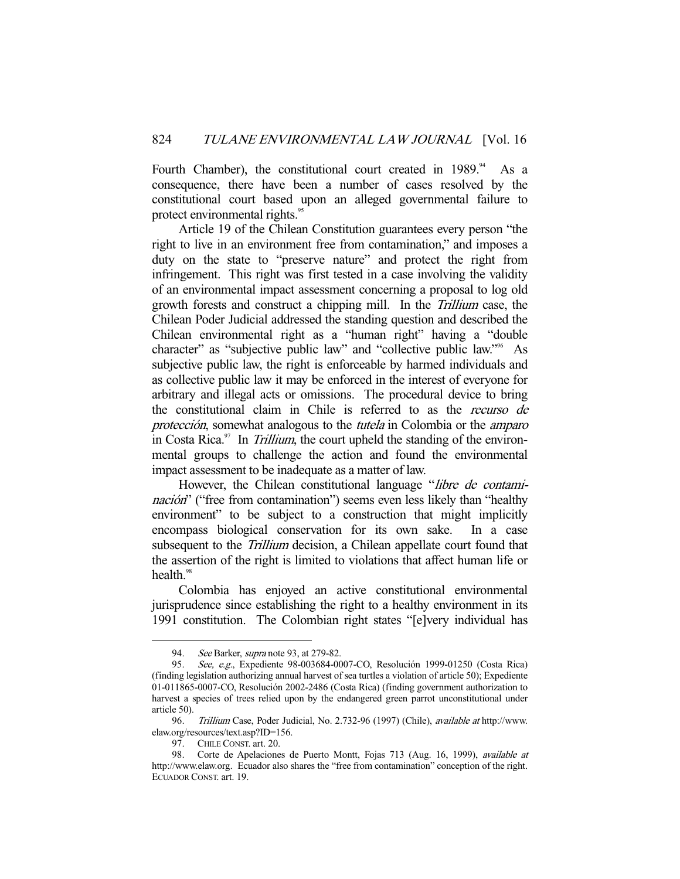Fourth Chamber), the constitutional court created in 1989.<sup>94</sup> As a consequence, there have been a number of cases resolved by the constitutional court based upon an alleged governmental failure to protect environmental rights.<sup>95</sup>

 Article 19 of the Chilean Constitution guarantees every person "the right to live in an environment free from contamination," and imposes a duty on the state to "preserve nature" and protect the right from infringement. This right was first tested in a case involving the validity of an environmental impact assessment concerning a proposal to log old growth forests and construct a chipping mill. In the Trillium case, the Chilean Poder Judicial addressed the standing question and described the Chilean environmental right as a "human right" having a "double character" as "subjective public law" and "collective public law."96 As subjective public law, the right is enforceable by harmed individuals and as collective public law it may be enforced in the interest of everyone for arbitrary and illegal acts or omissions. The procedural device to bring the constitutional claim in Chile is referred to as the recurso de protección, somewhat analogous to the tutela in Colombia or the amparo in Costa Rica. $\frac{97}{10}$  In Trillium, the court upheld the standing of the environmental groups to challenge the action and found the environmental impact assessment to be inadequate as a matter of law.

However, the Chilean constitutional language "*libre de contami*nación" ("free from contamination") seems even less likely than "healthy environment" to be subject to a construction that might implicitly encompass biological conservation for its own sake. In a case subsequent to the *Trillium* decision, a Chilean appellate court found that the assertion of the right is limited to violations that affect human life or health.<sup>98</sup>

 Colombia has enjoyed an active constitutional environmental jurisprudence since establishing the right to a healthy environment in its 1991 constitution. The Colombian right states "[e]very individual has

<sup>94.</sup> See Barker, *supra* note 93, at 279-82.<br>95. See, e.g., Expediente 98-003684-00

See, e.g., Expediente 98-003684-0007-CO, Resolución 1999-01250 (Costa Rica) (finding legislation authorizing annual harvest of sea turtles a violation of article 50); Expediente 01-011865-0007-CO, Resolución 2002-2486 (Costa Rica) (finding government authorization to harvest a species of trees relied upon by the endangered green parrot unconstitutional under article 50).

<sup>96.</sup> Trillium Case, Poder Judicial, No. 2.732-96 (1997) (Chile), available at http://www. elaw.org/resources/text.asp?ID=156.

 <sup>97.</sup> CHILE CONST. art. 20.

 <sup>98.</sup> Corte de Apelaciones de Puerto Montt, Fojas 713 (Aug. 16, 1999), available at http://www.elaw.org. Ecuador also shares the "free from contamination" conception of the right. ECUADOR CONST. art. 19.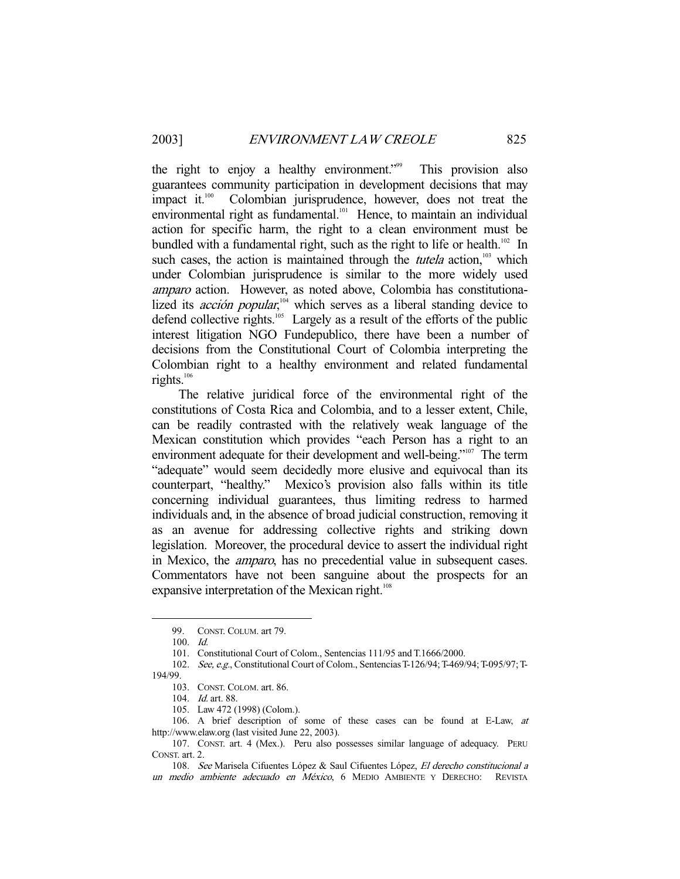the right to enjoy a healthy environment."<sup>99</sup> This provision also guarantees community participation in development decisions that may impact it.<sup>100</sup> Colombian jurisprudence, however, does not treat the environmental right as fundamental.<sup>101</sup> Hence, to maintain an individual action for specific harm, the right to a clean environment must be bundled with a fundamental right, such as the right to life or health.<sup>102</sup> In such cases, the action is maintained through the *tutela* action,<sup>103</sup> which under Colombian jurisprudence is similar to the more widely used amparo action. However, as noted above, Colombia has constitutionalized its *acción popular*,<sup>104</sup> which serves as a liberal standing device to defend collective rights.105 Largely as a result of the efforts of the public interest litigation NGO Fundepublico, there have been a number of decisions from the Constitutional Court of Colombia interpreting the Colombian right to a healthy environment and related fundamental rights.<sup>106</sup>

 The relative juridical force of the environmental right of the constitutions of Costa Rica and Colombia, and to a lesser extent, Chile, can be readily contrasted with the relatively weak language of the Mexican constitution which provides "each Person has a right to an environment adequate for their development and well-being."<sup>107</sup> The term "adequate" would seem decidedly more elusive and equivocal than its counterpart, "healthy." Mexico's provision also falls within its title concerning individual guarantees, thus limiting redress to harmed individuals and, in the absence of broad judicial construction, removing it as an avenue for addressing collective rights and striking down legislation. Moreover, the procedural device to assert the individual right in Mexico, the amparo, has no precedential value in subsequent cases. Commentators have not been sanguine about the prospects for an expansive interpretation of the Mexican right.<sup>108</sup>

 <sup>99.</sup> CONST. COLUM. art 79.

 <sup>100.</sup> Id.

 <sup>101.</sup> Constitutional Court of Colom., Sentencias 111/95 and T.1666/2000.

 <sup>102.</sup> See, e.g., Constitutional Court of Colom., Sentencias T-126/94; T-469/94; T-095/97; T-194/99.

 <sup>103.</sup> CONST. COLOM. art. 86.

<sup>104.</sup> *Id.* art. 88.

 <sup>105.</sup> Law 472 (1998) (Colom.).

 <sup>106.</sup> A brief description of some of these cases can be found at E-Law, at http://www.elaw.org (last visited June 22, 2003).

 <sup>107.</sup> CONST. art. 4 (Mex.). Peru also possesses similar language of adequacy. PERU CONST. art. 2.

 <sup>108.</sup> See Marisela Cifuentes López & Saul Cifuentes López, El derecho constitucional a un medio ambiente adecuado en México, 6 MEDIO AMBIENTE Y DERECHO: REVISTA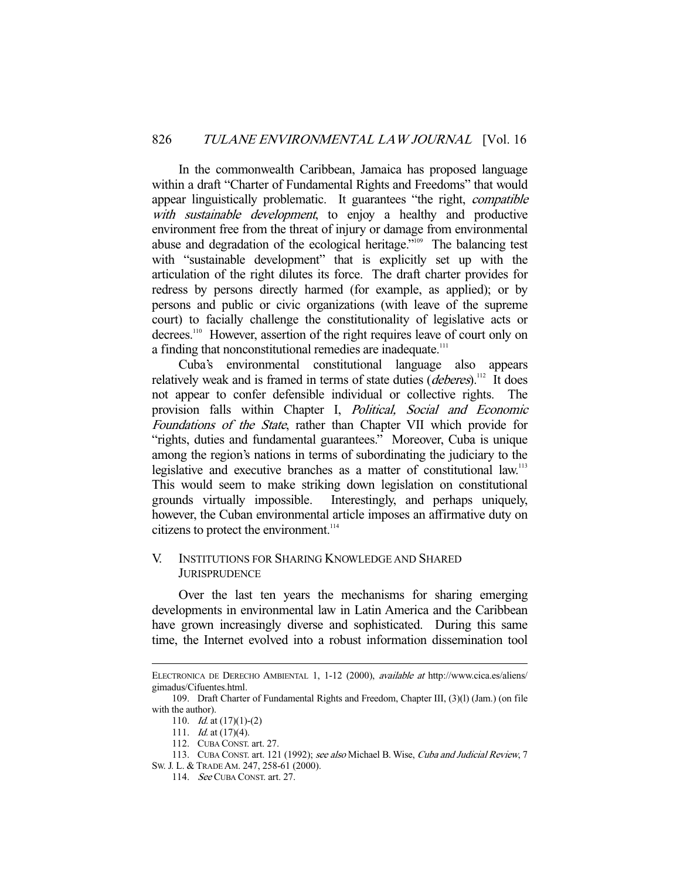In the commonwealth Caribbean, Jamaica has proposed language within a draft "Charter of Fundamental Rights and Freedoms" that would appear linguistically problematic. It guarantees "the right, *compatible* with *sustainable development*, to enjoy a healthy and productive environment free from the threat of injury or damage from environmental abuse and degradation of the ecological heritage."109 The balancing test with "sustainable development" that is explicitly set up with the articulation of the right dilutes its force. The draft charter provides for redress by persons directly harmed (for example, as applied); or by persons and public or civic organizations (with leave of the supreme court) to facially challenge the constitutionality of legislative acts or decrees.<sup>110</sup> However, assertion of the right requires leave of court only on a finding that nonconstitutional remedies are inadequate.<sup>111</sup>

 Cuba's environmental constitutional language also appears relatively weak and is framed in terms of state duties (*deberes*).<sup>112</sup> It does not appear to confer defensible individual or collective rights. The provision falls within Chapter I, Political, Social and Economic Foundations of the State, rather than Chapter VII which provide for "rights, duties and fundamental guarantees." Moreover, Cuba is unique among the region's nations in terms of subordinating the judiciary to the legislative and executive branches as a matter of constitutional law.<sup>113</sup> This would seem to make striking down legislation on constitutional grounds virtually impossible. Interestingly, and perhaps uniquely, however, the Cuban environmental article imposes an affirmative duty on citizens to protect the environment.<sup>114</sup>

# V. INSTITUTIONS FOR SHARING KNOWLEDGE AND SHARED **JURISPRUDENCE**

 Over the last ten years the mechanisms for sharing emerging developments in environmental law in Latin America and the Caribbean have grown increasingly diverse and sophisticated. During this same time, the Internet evolved into a robust information dissemination tool

ELECTRONICA DE DERECHO AMBIENTAL 1, 1-12 (2000), available at http://www.cica.es/aliens/ gimadus/Cifuentes.html.

 <sup>109.</sup> Draft Charter of Fundamental Rights and Freedom, Chapter III, (3)(l) (Jam.) (on file with the author).

<sup>110.</sup> *Id.* at  $(17)(1)-(2)$ 

<sup>111.</sup> *Id.* at (17)(4).

 <sup>112.</sup> CUBA CONST. art. 27.

<sup>113.</sup> CUBA CONST. art. 121 (1992); see also Michael B. Wise, Cuba and Judicial Review, 7 SW. J. L. & TRADE AM. 247, 258-61 (2000).

 <sup>114.</sup> See CUBA CONST. art. 27.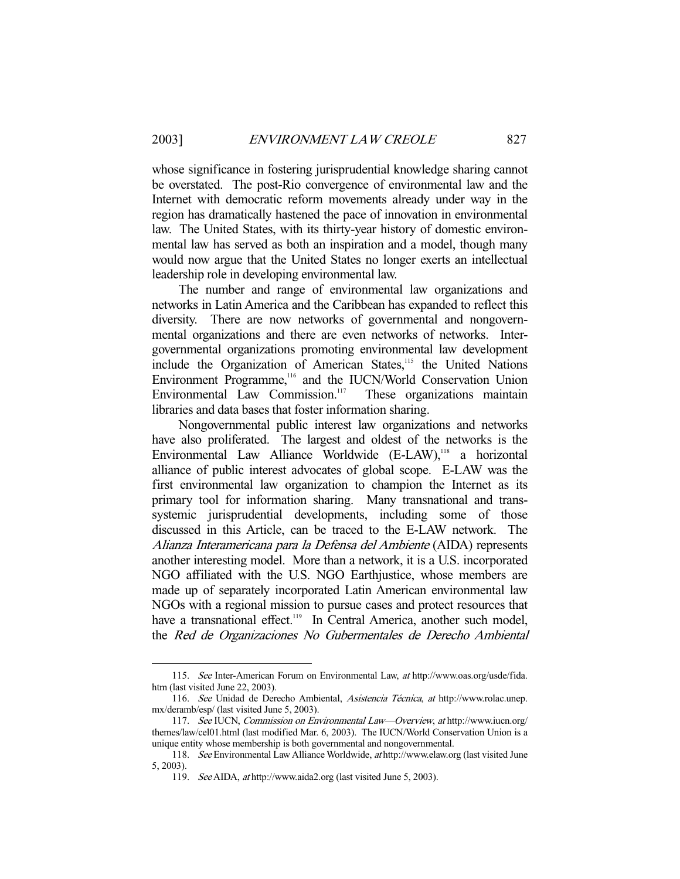whose significance in fostering jurisprudential knowledge sharing cannot be overstated. The post-Rio convergence of environmental law and the Internet with democratic reform movements already under way in the region has dramatically hastened the pace of innovation in environmental law. The United States, with its thirty-year history of domestic environmental law has served as both an inspiration and a model, though many would now argue that the United States no longer exerts an intellectual leadership role in developing environmental law.

 The number and range of environmental law organizations and networks in Latin America and the Caribbean has expanded to reflect this diversity. There are now networks of governmental and nongovernmental organizations and there are even networks of networks. Intergovernmental organizations promoting environmental law development include the Organization of American States,<sup>115</sup> the United Nations Environment Programme,<sup>116</sup> and the IUCN/World Conservation Union Environmental Law Commission.<sup>117</sup> These organizations maintain libraries and data bases that foster information sharing.

 Nongovernmental public interest law organizations and networks have also proliferated. The largest and oldest of the networks is the Environmental Law Alliance Worldwide (E-LAW),<sup>118</sup> a horizontal alliance of public interest advocates of global scope. E-LAW was the first environmental law organization to champion the Internet as its primary tool for information sharing. Many transnational and transsystemic jurisprudential developments, including some of those discussed in this Article, can be traced to the E-LAW network. The Alianza Interamericana para la Defensa del Ambiente (AIDA) represents another interesting model. More than a network, it is a U.S. incorporated NGO affiliated with the U.S. NGO Earthjustice, whose members are made up of separately incorporated Latin American environmental law NGOs with a regional mission to pursue cases and protect resources that have a transnational effect.<sup>119</sup> In Central America, another such model, the Red de Organizaciones No Gubermentales de Derecho Ambiental

 <sup>115.</sup> See Inter-American Forum on Environmental Law, at http://www.oas.org/usde/fida. htm (last visited June 22, 2003).

 <sup>116.</sup> See Unidad de Derecho Ambiental, Asistencia Técnica, at http://www.rolac.unep. mx/deramb/esp/ (last visited June 5, 2003).

 <sup>117.</sup> See IUCN, Commission on Environmental Law—Overview, at http://www.iucn.org/ themes/law/cel01.html (last modified Mar. 6, 2003). The IUCN/World Conservation Union is a unique entity whose membership is both governmental and nongovernmental.

 <sup>118.</sup> See Environmental Law Alliance Worldwide, at http://www.elaw.org (last visited June 5, 2003).

 <sup>119.</sup> See AIDA, at http://www.aida2.org (last visited June 5, 2003).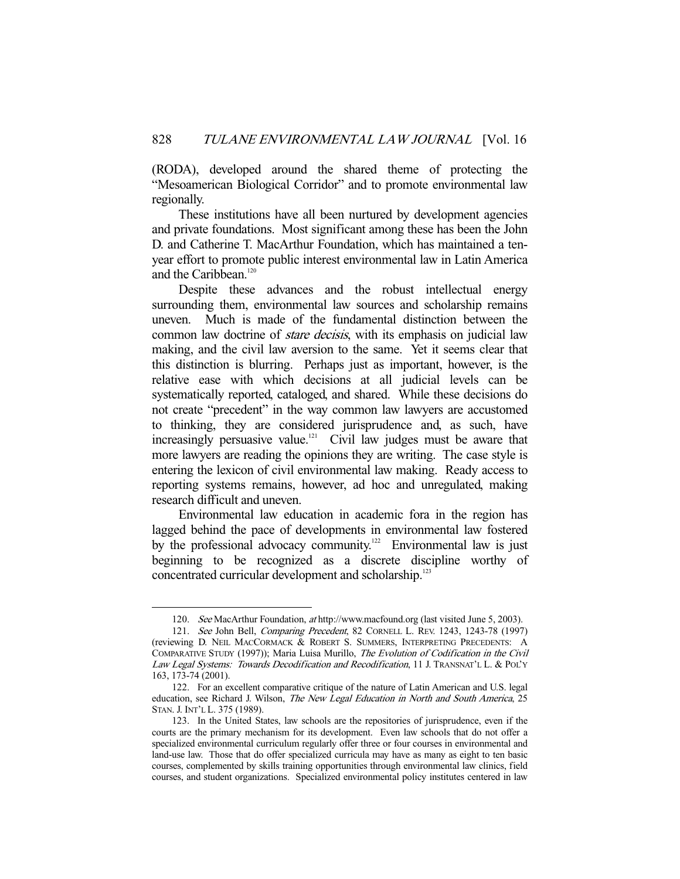(RODA), developed around the shared theme of protecting the "Mesoamerican Biological Corridor" and to promote environmental law regionally.

 These institutions have all been nurtured by development agencies and private foundations. Most significant among these has been the John D. and Catherine T. MacArthur Foundation, which has maintained a tenyear effort to promote public interest environmental law in Latin America and the Caribbean.<sup>120</sup>

 Despite these advances and the robust intellectual energy surrounding them, environmental law sources and scholarship remains uneven. Much is made of the fundamental distinction between the common law doctrine of *stare decisis*, with its emphasis on judicial law making, and the civil law aversion to the same. Yet it seems clear that this distinction is blurring. Perhaps just as important, however, is the relative ease with which decisions at all judicial levels can be systematically reported, cataloged, and shared. While these decisions do not create "precedent" in the way common law lawyers are accustomed to thinking, they are considered jurisprudence and, as such, have increasingly persuasive value.<sup>121</sup> Civil law judges must be aware that more lawyers are reading the opinions they are writing. The case style is entering the lexicon of civil environmental law making. Ready access to reporting systems remains, however, ad hoc and unregulated, making research difficult and uneven.

 Environmental law education in academic fora in the region has lagged behind the pace of developments in environmental law fostered by the professional advocacy community.<sup>122</sup> Environmental law is just beginning to be recognized as a discrete discipline worthy of concentrated curricular development and scholarship.<sup>123</sup>

 <sup>120.</sup> See MacArthur Foundation, at http://www.macfound.org (last visited June 5, 2003).

<sup>121.</sup> See John Bell, Comparing Precedent, 82 CORNELL L. REV. 1243, 1243-78 (1997) (reviewing D. NEIL MACCORMACK & ROBERT S. SUMMERS, INTERPRETING PRECEDENTS: A COMPARATIVE STUDY (1997)); Maria Luisa Murillo, The Evolution of Codification in the Civil Law Legal Systems: Towards Decodification and Recodification, 11 J. TRANSNAT'L L. & POL'Y 163, 173-74 (2001).

 <sup>122.</sup> For an excellent comparative critique of the nature of Latin American and U.S. legal education, see Richard J. Wilson, The New Legal Education in North and South America, 25 STAN. J. INT'L L. 375 (1989).

 <sup>123.</sup> In the United States, law schools are the repositories of jurisprudence, even if the courts are the primary mechanism for its development. Even law schools that do not offer a specialized environmental curriculum regularly offer three or four courses in environmental and land-use law. Those that do offer specialized curricula may have as many as eight to ten basic courses, complemented by skills training opportunities through environmental law clinics, field courses, and student organizations. Specialized environmental policy institutes centered in law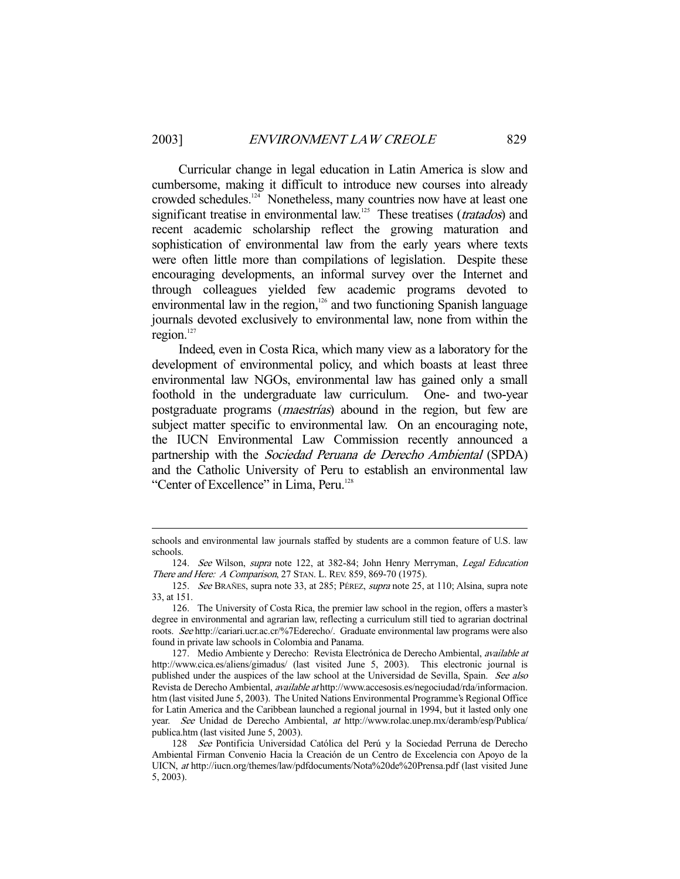-

 Curricular change in legal education in Latin America is slow and cumbersome, making it difficult to introduce new courses into already crowded schedules.<sup>124</sup> Nonetheless, many countries now have at least one significant treatise in environmental law.<sup>125</sup> These treatises (*tratados*) and recent academic scholarship reflect the growing maturation and sophistication of environmental law from the early years where texts were often little more than compilations of legislation. Despite these encouraging developments, an informal survey over the Internet and through colleagues yielded few academic programs devoted to environmental law in the region,<sup>126</sup> and two functioning Spanish language journals devoted exclusively to environmental law, none from within the region. $127$ 

 Indeed, even in Costa Rica, which many view as a laboratory for the development of environmental policy, and which boasts at least three environmental law NGOs, environmental law has gained only a small foothold in the undergraduate law curriculum. One- and two-year postgraduate programs (maestrías) abound in the region, but few are subject matter specific to environmental law. On an encouraging note, the IUCN Environmental Law Commission recently announced a partnership with the Sociedad Peruana de Derecho Ambiental (SPDA) and the Catholic University of Peru to establish an environmental law "Center of Excellence" in Lima, Peru.<sup>128</sup>

schools and environmental law journals staffed by students are a common feature of U.S. law schools.

<sup>124.</sup> See Wilson, supra note 122, at 382-84; John Henry Merryman, Legal Education There and Here: A Comparison, 27 STAN. L. REV. 859, 869-70 (1975).

<sup>125.</sup> See BRAÑES, supra note 33, at 285; PÉREZ, supra note 25, at 110; Alsina, supra note 33, at 151.

 <sup>126.</sup> The University of Costa Rica, the premier law school in the region, offers a master's degree in environmental and agrarian law, reflecting a curriculum still tied to agrarian doctrinal roots. See http://cariari.ucr.ac.cr/%7Ederecho/. Graduate environmental law programs were also found in private law schools in Colombia and Panama.

 <sup>127.</sup> Medio Ambiente y Derecho: Revista Electrónica de Derecho Ambiental, available at http://www.cica.es/aliens/gimadus/ (last visited June 5, 2003). This electronic journal is published under the auspices of the law school at the Universidad de Sevilla, Spain. See also Revista de Derecho Ambiental, available at http://www.accesosis.es/negociudad/rda/informacion. htm (last visited June 5, 2003). The United Nations Environmental Programme's Regional Office for Latin America and the Caribbean launched a regional journal in 1994, but it lasted only one year. See Unidad de Derecho Ambiental, at http://www.rolac.unep.mx/deramb/esp/Publica/ publica.htm (last visited June 5, 2003).

 <sup>128</sup> See Pontificia Universidad Católica del Perú y la Sociedad Perruna de Derecho Ambiental Firman Convenio Hacia la Creación de un Centro de Excelencia con Apoyo de la UICN, at http://iucn.org/themes/law/pdfdocuments/Nota%20de%20Prensa.pdf (last visited June 5, 2003).